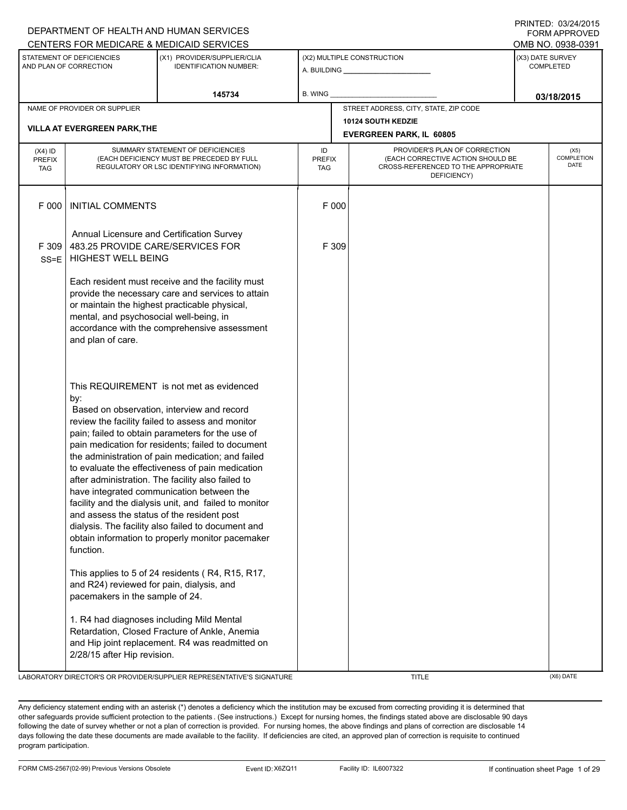|                                          |                                                                                                                                                                                                                            | CENTERS FOR MEDICARE & MEDICAID SERVICES                                                                                                                                                                                                                                                                                                                                                                                                                                                                                                                                                                                                                                                                                                                                                  |                                   |       |                                                                                                                          | FURIVI APPRUVED<br>OMB NO. 0938-0391 |
|------------------------------------------|----------------------------------------------------------------------------------------------------------------------------------------------------------------------------------------------------------------------------|-------------------------------------------------------------------------------------------------------------------------------------------------------------------------------------------------------------------------------------------------------------------------------------------------------------------------------------------------------------------------------------------------------------------------------------------------------------------------------------------------------------------------------------------------------------------------------------------------------------------------------------------------------------------------------------------------------------------------------------------------------------------------------------------|-----------------------------------|-------|--------------------------------------------------------------------------------------------------------------------------|--------------------------------------|
|                                          | STATEMENT OF DEFICIENCIES<br>AND PLAN OF CORRECTION                                                                                                                                                                        | (X1) PROVIDER/SUPPLIER/CLIA<br><b>IDENTIFICATION NUMBER:</b>                                                                                                                                                                                                                                                                                                                                                                                                                                                                                                                                                                                                                                                                                                                              |                                   |       | (X2) MULTIPLE CONSTRUCTION                                                                                               | (X3) DATE SURVEY<br><b>COMPLETED</b> |
|                                          |                                                                                                                                                                                                                            | 145734                                                                                                                                                                                                                                                                                                                                                                                                                                                                                                                                                                                                                                                                                                                                                                                    | B. WING                           |       |                                                                                                                          | 03/18/2015                           |
|                                          | NAME OF PROVIDER OR SUPPLIER<br><b>VILLA AT EVERGREEN PARK, THE</b>                                                                                                                                                        |                                                                                                                                                                                                                                                                                                                                                                                                                                                                                                                                                                                                                                                                                                                                                                                           |                                   |       | STREET ADDRESS, CITY, STATE, ZIP CODE<br>10124 SOUTH KEDZIE<br><b>EVERGREEN PARK, IL 60805</b>                           |                                      |
| $(X4)$ ID<br><b>PREFIX</b><br><b>TAG</b> |                                                                                                                                                                                                                            | SUMMARY STATEMENT OF DEFICIENCIES<br>(EACH DEFICIENCY MUST BE PRECEDED BY FULL<br>REGULATORY OR LSC IDENTIFYING INFORMATION)                                                                                                                                                                                                                                                                                                                                                                                                                                                                                                                                                                                                                                                              | ID<br><b>PREFIX</b><br><b>TAG</b> |       | PROVIDER'S PLAN OF CORRECTION<br>(EACH CORRECTIVE ACTION SHOULD BE<br>CROSS-REFERENCED TO THE APPROPRIATE<br>DEFICIENCY) | (X5)<br><b>COMPLETION</b><br>DATE    |
| F 000                                    | <b>INITIAL COMMENTS</b>                                                                                                                                                                                                    |                                                                                                                                                                                                                                                                                                                                                                                                                                                                                                                                                                                                                                                                                                                                                                                           |                                   | F 000 |                                                                                                                          |                                      |
| F 309<br>$SS = E$                        | Annual Licensure and Certification Survey<br>483.25 PROVIDE CARE/SERVICES FOR<br><b>HIGHEST WELL BEING</b>                                                                                                                 |                                                                                                                                                                                                                                                                                                                                                                                                                                                                                                                                                                                                                                                                                                                                                                                           |                                   | F 309 |                                                                                                                          |                                      |
|                                          | mental, and psychosocial well-being, in<br>and plan of care.                                                                                                                                                               | Each resident must receive and the facility must<br>provide the necessary care and services to attain<br>or maintain the highest practicable physical,<br>accordance with the comprehensive assessment                                                                                                                                                                                                                                                                                                                                                                                                                                                                                                                                                                                    |                                   |       |                                                                                                                          |                                      |
|                                          | by:<br>and assess the status of the resident post<br>function.<br>and R24) reviewed for pain, dialysis, and<br>pacemakers in the sample of 24.<br>1. R4 had diagnoses including Mild Mental<br>2/28/15 after Hip revision. | This REQUIREMENT is not met as evidenced<br>Based on observation, interview and record<br>review the facility failed to assess and monitor<br>pain; failed to obtain parameters for the use of<br>pain medication for residents; failed to document<br>the administration of pain medication; and failed<br>to evaluate the effectiveness of pain medication<br>after administration. The facility also failed to<br>have integrated communication between the<br>facility and the dialysis unit, and failed to monitor<br>dialysis. The facility also failed to document and<br>obtain information to properly monitor pacemaker<br>This applies to 5 of 24 residents (R4, R15, R17,<br>Retardation, Closed Fracture of Ankle, Anemia<br>and Hip joint replacement. R4 was readmitted on |                                   |       |                                                                                                                          |                                      |

LABORATORY DIRECTOR'S OR PROVIDER/SUPPLIER REPRESENTATIVE'S SIGNATURE TITLE THE TITLE (X6) DATE

DEPARTMENT OF HEALTH AND HUMAN SERVICES

PRINTED: 03/24/2015 FORM APPROVED

Any deficiency statement ending with an asterisk (\*) denotes a deficiency which the institution may be excused from correcting providing it is determined that other safeguards provide sufficient protection to the patients . (See instructions.) Except for nursing homes, the findings stated above are disclosable 90 days following the date of survey whether or not a plan of correction is provided. For nursing homes, the above findings and plans of correction are disclosable 14 days following the date these documents are made available to the facility. If deficiencies are cited, an approved plan of correction is requisite to continued program participation.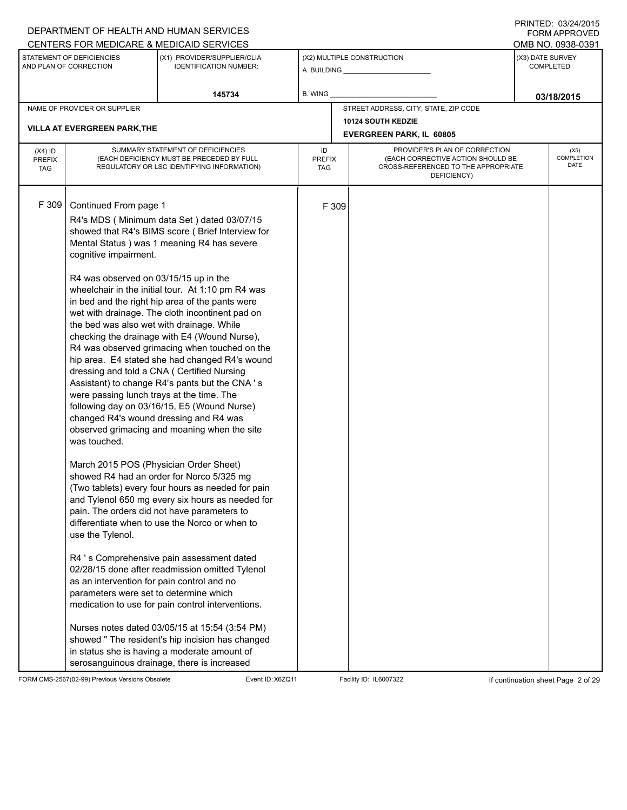# A. BUILDING **\_\_\_\_\_\_\_\_\_\_\_\_\_\_\_\_\_\_\_\_\_\_** (X1) PROVIDER/SUPPLIER/CLIA IDENTIFICATION NUMBER: STATEMENT OF DEFICIENCIES AND PLAN OF CORRECTION (X3) DATE SURVEY COMPLETED FORM APPROVED (X2) MULTIPLE CONSTRUCTION **B. WING** CENTERS FOR MEDICARE & MEDICAID SERVICES **And CENTERS FOR MEDICAL ACCESS** OMB NO. 0938-0391 **145734 03/18/2015** NAME OF PROVIDER OR SUPPLIER STREET ADDRESS, CITY, STATE, ZIP CODE **10124 SOUTH KEDZIE VILLA AT EVERGREEN PARK,THE EVERGREEN PARK, IL 60805** PROVIDER'S PLAN OF CORRECTION (EACH CORRECTIVE ACTION SHOULD BE CROSS-REFERENCED TO THE APPROPRIATE DEFICIENCY) (X5) **COMPLETION** DATE ID PREFIX TAG (X4) ID PREFIX TAG SUMMARY STATEMENT OF DEFICIENCIES (EACH DEFICIENCY MUST BE PRECEDED BY FULL REGULATORY OR LSC IDENTIFYING INFORMATION) F 309 Continued From page 1 F 309 R4's MDS ( Minimum data Set ) dated 03/07/15 showed that R4's BIMS score ( Brief Interview for Mental Status ) was 1 meaning R4 has severe cognitive impairment. R4 was observed on 03/15/15 up in the wheelchair in the initial tour. At 1:10 pm R4 was in bed and the right hip area of the pants were wet with drainage. The cloth incontinent pad on the bed was also wet with drainage. While checking the drainage with E4 (Wound Nurse), R4 was observed grimacing when touched on the hip area. E4 stated she had changed R4's wound dressing and told a CNA ( Certified Nursing Assistant) to change R4's pants but the CNA ' s were passing lunch trays at the time. The following day on 03/16/15, E5 (Wound Nurse) changed R4's wound dressing and R4 was observed grimacing and moaning when the site was touched. March 2015 POS (Physician Order Sheet) showed R4 had an order for Norco 5/325 mg (Two tablets) every four hours as needed for pain and Tylenol 650 mg every six hours as needed for pain. The orders did not have parameters to differentiate when to use the Norco or when to use the Tylenol. R4 ' s Comprehensive pain assessment dated 02/28/15 done after readmission omitted Tylenol as an intervention for pain control and no parameters were set to determine which medication to use for pain control interventions. Nurses notes dated 03/05/15 at 15:54 (3:54 PM) showed " The resident's hip incision has changed in status she is having a moderate amount of serosanguinous drainage, there is increased

FORM CMS-2567(02-99) Previous Versions Obsolete Event ID:X6ZQ11 Facility ID: IL6007322 If continuation sheet Page 2 of 29

DEPARTMENT OF HEALTH AND HUMAN SERVICES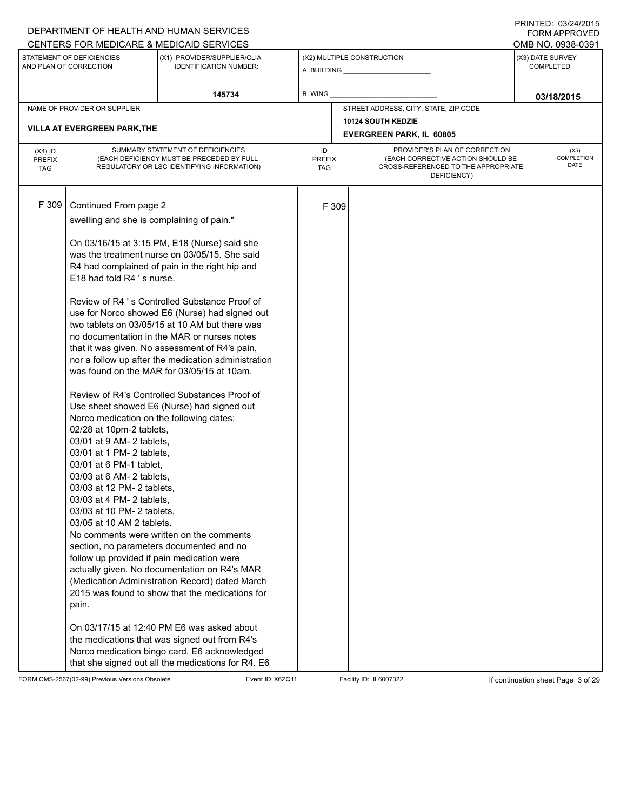|               |                                                     | DEPARTMENT OF HEALTH AND HUMAN SERVICES                      |               |       |                                                    |                  | <b>FORM APPROVED</b><br>OMB NO. 0938-0391 |
|---------------|-----------------------------------------------------|--------------------------------------------------------------|---------------|-------|----------------------------------------------------|------------------|-------------------------------------------|
|               |                                                     | CENTERS FOR MEDICARE & MEDICAID SERVICES                     |               |       |                                                    |                  |                                           |
|               | STATEMENT OF DEFICIENCIES<br>AND PLAN OF CORRECTION | (X1) PROVIDER/SUPPLIER/CLIA<br><b>IDENTIFICATION NUMBER:</b> |               |       | (X2) MULTIPLE CONSTRUCTION                         | (X3) DATE SURVEY | <b>COMPLETED</b>                          |
|               |                                                     | 145734                                                       | B. WING       |       |                                                    |                  | 03/18/2015                                |
|               | NAME OF PROVIDER OR SUPPLIER                        |                                                              |               |       | STREET ADDRESS, CITY, STATE, ZIP CODE              |                  |                                           |
|               |                                                     |                                                              |               |       | <b>10124 SOUTH KEDZIE</b>                          |                  |                                           |
|               | <b>VILLA AT EVERGREEN PARK, THE</b>                 |                                                              |               |       | <b>EVERGREEN PARK, IL 60805</b>                    |                  |                                           |
| $(X4)$ ID     |                                                     | SUMMARY STATEMENT OF DEFICIENCIES                            | ID            |       | PROVIDER'S PLAN OF CORRECTION                      |                  | (X5)                                      |
| <b>PREFIX</b> |                                                     | (EACH DEFICIENCY MUST BE PRECEDED BY FULL                    | <b>PREFIX</b> |       | (EACH CORRECTIVE ACTION SHOULD BE                  |                  | <b>COMPLETION</b><br>DATE                 |
| <b>TAG</b>    |                                                     | REGULATORY OR LSC IDENTIFYING INFORMATION)                   | TAG           |       | CROSS-REFERENCED TO THE APPROPRIATE<br>DEFICIENCY) |                  |                                           |
|               |                                                     |                                                              |               |       |                                                    |                  |                                           |
| F 309         |                                                     |                                                              |               |       |                                                    |                  |                                           |
|               | Continued From page 2                               |                                                              |               | F 309 |                                                    |                  |                                           |
|               | swelling and she is complaining of pain."           |                                                              |               |       |                                                    |                  |                                           |
|               |                                                     | On 03/16/15 at 3:15 PM, E18 (Nurse) said she                 |               |       |                                                    |                  |                                           |
|               |                                                     | was the treatment nurse on 03/05/15. She said                |               |       |                                                    |                  |                                           |
|               |                                                     | R4 had complained of pain in the right hip and               |               |       |                                                    |                  |                                           |
|               | E18 had told R4 's nurse.                           |                                                              |               |       |                                                    |                  |                                           |
|               |                                                     |                                                              |               |       |                                                    |                  |                                           |
|               |                                                     | Review of R4 's Controlled Substance Proof of                |               |       |                                                    |                  |                                           |
|               |                                                     | use for Norco showed E6 (Nurse) had signed out               |               |       |                                                    |                  |                                           |
|               |                                                     | two tablets on 03/05/15 at 10 AM but there was               |               |       |                                                    |                  |                                           |
|               |                                                     | no documentation in the MAR or nurses notes                  |               |       |                                                    |                  |                                           |
|               |                                                     | that it was given. No assessment of R4's pain,               |               |       |                                                    |                  |                                           |
|               |                                                     | nor a follow up after the medication administration          |               |       |                                                    |                  |                                           |
|               |                                                     | was found on the MAR for 03/05/15 at 10am.                   |               |       |                                                    |                  |                                           |
|               |                                                     | Review of R4's Controlled Substances Proof of                |               |       |                                                    |                  |                                           |
|               |                                                     | Use sheet showed E6 (Nurse) had signed out                   |               |       |                                                    |                  |                                           |
|               | Norco medication on the following dates:            |                                                              |               |       |                                                    |                  |                                           |
|               | 02/28 at 10pm-2 tablets,                            |                                                              |               |       |                                                    |                  |                                           |
|               | 03/01 at 9 AM- 2 tablets,                           |                                                              |               |       |                                                    |                  |                                           |
|               | 03/01 at 1 PM- 2 tablets,                           |                                                              |               |       |                                                    |                  |                                           |
|               | 03/01 at 6 PM-1 tablet,                             |                                                              |               |       |                                                    |                  |                                           |
|               | 03/03 at 6 AM- 2 tablets,                           |                                                              |               |       |                                                    |                  |                                           |
|               | 03/03 at 12 PM- 2 tablets,                          |                                                              |               |       |                                                    |                  |                                           |
|               | 03/03 at 4 PM- 2 tablets,                           |                                                              |               |       |                                                    |                  |                                           |
|               | 03/03 at 10 PM- 2 tablets,                          |                                                              |               |       |                                                    |                  |                                           |
|               | 03/05 at 10 AM 2 tablets.                           | No comments were written on the comments                     |               |       |                                                    |                  |                                           |
|               |                                                     | section, no parameters documented and no                     |               |       |                                                    |                  |                                           |
|               | follow up provided if pain medication were          |                                                              |               |       |                                                    |                  |                                           |
|               |                                                     | actually given. No documentation on R4's MAR                 |               |       |                                                    |                  |                                           |
|               |                                                     | (Medication Administration Record) dated March               |               |       |                                                    |                  |                                           |
|               |                                                     | 2015 was found to show that the medications for              |               |       |                                                    |                  |                                           |
|               | pain.                                               |                                                              |               |       |                                                    |                  |                                           |
|               |                                                     |                                                              |               |       |                                                    |                  |                                           |
|               |                                                     | On 03/17/15 at 12:40 PM E6 was asked about                   |               |       |                                                    |                  |                                           |
|               |                                                     | the medications that was signed out from R4's                |               |       |                                                    |                  |                                           |
|               |                                                     | Norco medication bingo card. E6 acknowledged                 |               |       |                                                    |                  |                                           |
|               |                                                     | that she signed out all the medications for R4. E6           |               |       |                                                    |                  |                                           |

FORM CMS-2567(02-99) Previous Versions Obsolete Event ID:X6ZQ11 Facility ID: IL6007322 If continuation sheet Page 3 of 29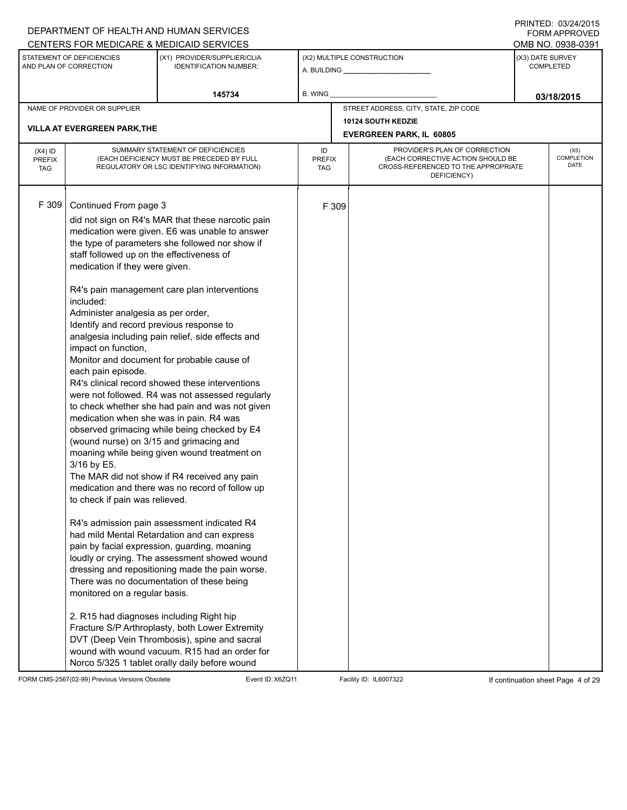### A. BUILDING **\_\_\_\_\_\_\_\_\_\_\_\_\_\_\_\_\_\_\_\_\_\_** (X1) PROVIDER/SUPPLIER/CLIA IDENTIFICATION NUMBER: STATEMENT OF DEFICIENCIES AND PLAN OF CORRECTION (X3) DATE SURVEY COMPLETED FORM APPROVED (X2) MULTIPLE CONSTRUCTION **B. WING** DEPARTMENT OF HEALTH AND HUMAN SERVICES CENTERS FOR MEDICARE & MEDICAID SERVICES **And CENTERS FOR MEDICAL ACCESS** OMB NO. 0938-0391 **145734 03/18/2015** NAME OF PROVIDER OR SUPPLIER STREET ADDRESS, CITY, STATE, ZIP CODE **10124 SOUTH KEDZIE VILLA AT EVERGREEN PARK,THE EVERGREEN PARK, IL 60805** PROVIDER'S PLAN OF CORRECTION (EACH CORRECTIVE ACTION SHOULD BE CROSS-REFERENCED TO THE APPROPRIATE DEFICIENCY) (X5) **COMPLETION** DATE ID PREFIX TAG (X4) ID PREFIX TAG SUMMARY STATEMENT OF DEFICIENCIES (EACH DEFICIENCY MUST BE PRECEDED BY FULL REGULATORY OR LSC IDENTIFYING INFORMATION) F 309 Continued From page 3 F 309 did not sign on R4's MAR that these narcotic pain medication were given. E6 was unable to answer the type of parameters she followed nor show if staff followed up on the effectiveness of medication if they were given. R4's pain management care plan interventions included: Administer analgesia as per order, Identify and record previous response to analgesia including pain relief, side effects and impact on function, Monitor and document for probable cause of each pain episode. R4's clinical record showed these interventions were not followed. R4 was not assessed regularly to check whether she had pain and was not given medication when she was in pain. R4 was observed grimacing while being checked by E4 (wound nurse) on 3/15 and grimacing and moaning while being given wound treatment on 3/16 by E5. The MAR did not show if R4 received any pain medication and there was no record of follow up to check if pain was relieved. R4's admission pain assessment indicated R4 had mild Mental Retardation and can express pain by facial expression, guarding, moaning loudly or crying. The assessment showed wound dressing and repositioning made the pain worse. There was no documentation of these being monitored on a regular basis. 2. R15 had diagnoses including Right hip Fracture S/P Arthroplasty, both Lower Extremity DVT (Deep Vein Thrombosis), spine and sacral wound with wound vacuum. R15 had an order for Norco 5/325 1 tablet orally daily before wound

FORM CMS-2567(02-99) Previous Versions Obsolete Event ID:X6ZQ11 Facility ID: IL6007322 If continuation sheet Page 4 of 29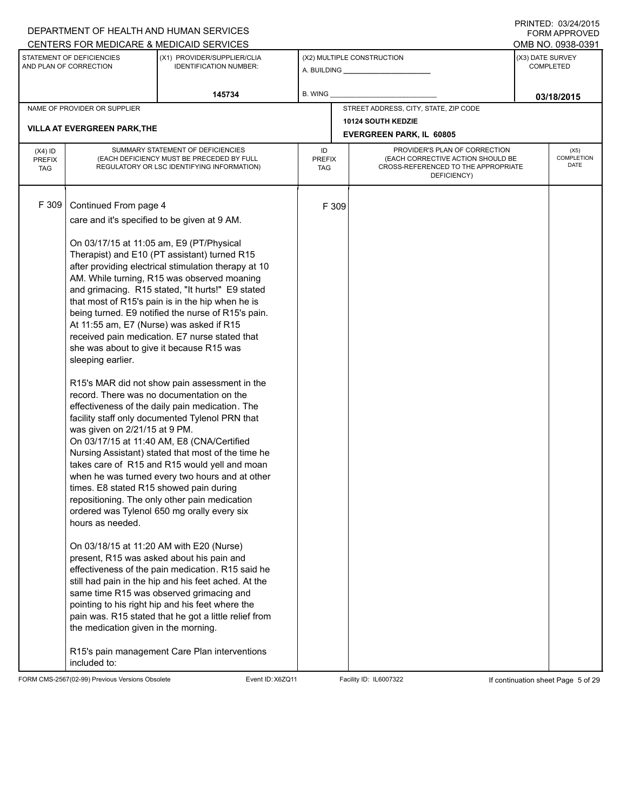# A. BUILDING **\_\_\_\_\_\_\_\_\_\_\_\_\_\_\_\_\_\_\_\_\_\_** (X1) PROVIDER/SUPPLIER/CLIA IDENTIFICATION NUMBER: STATEMENT OF DEFICIENCIES AND PLAN OF CORRECTION (X3) DATE SURVEY COMPLETED FORM APPROVED (X2) MULTIPLE CONSTRUCTION **B. WING** CENTERS FOR MEDICARE & MEDICAID SERVICES **And CENTERS FOR MEDICAL ACCESS** OMB NO. 0938-0391 **145734 03/18/2015** NAME OF PROVIDER OR SUPPLIER STREET ADDRESS, CITY, STATE, ZIP CODE **10124 SOUTH KEDZIE VILLA AT EVERGREEN PARK,THE EVERGREEN PARK, IL 60805** PROVIDER'S PLAN OF CORRECTION (EACH CORRECTIVE ACTION SHOULD BE CROSS-REFERENCED TO THE APPROPRIATE DEFICIENCY) (X5) **COMPLETION** DATE ID PREFIX TAG (X4) ID PREFIX TAG SUMMARY STATEMENT OF DEFICIENCIES (EACH DEFICIENCY MUST BE PRECEDED BY FULL REGULATORY OR LSC IDENTIFYING INFORMATION) F 309 Continued From page 4 F 309 care and it's specified to be given at 9 AM. On 03/17/15 at 11:05 am, E9 (PT/Physical Therapist) and E10 (PT assistant) turned R15 after providing electrical stimulation therapy at 10 AM. While turning, R15 was observed moaning and grimacing. R15 stated, "It hurts!" E9 stated that most of R15's pain is in the hip when he is being turned. E9 notified the nurse of R15's pain. At 11:55 am, E7 (Nurse) was asked if R15 received pain medication. E7 nurse stated that she was about to give it because R15 was sleeping earlier. R15's MAR did not show pain assessment in the record. There was no documentation on the effectiveness of the daily pain medication. The facility staff only documented Tylenol PRN that was given on 2/21/15 at 9 PM. On 03/17/15 at 11:40 AM, E8 (CNA/Certified Nursing Assistant) stated that most of the time he takes care of R15 and R15 would yell and moan when he was turned every two hours and at other times. E8 stated R15 showed pain during repositioning. The only other pain medication ordered was Tylenol 650 mg orally every six hours as needed. On 03/18/15 at 11:20 AM with E20 (Nurse) present, R15 was asked about his pain and effectiveness of the pain medication. R15 said he still had pain in the hip and his feet ached. At the same time R15 was observed grimacing and pointing to his right hip and his feet where the pain was. R15 stated that he got a little relief from the medication given in the morning. R15's pain management Care Plan interventions included to:

FORM CMS-2567(02-99) Previous Versions Obsolete Event ID:X6ZQ11 Facility ID: IL6007322 If continuation sheet Page 5 of 29

DEPARTMENT OF HEALTH AND HUMAN SERVICES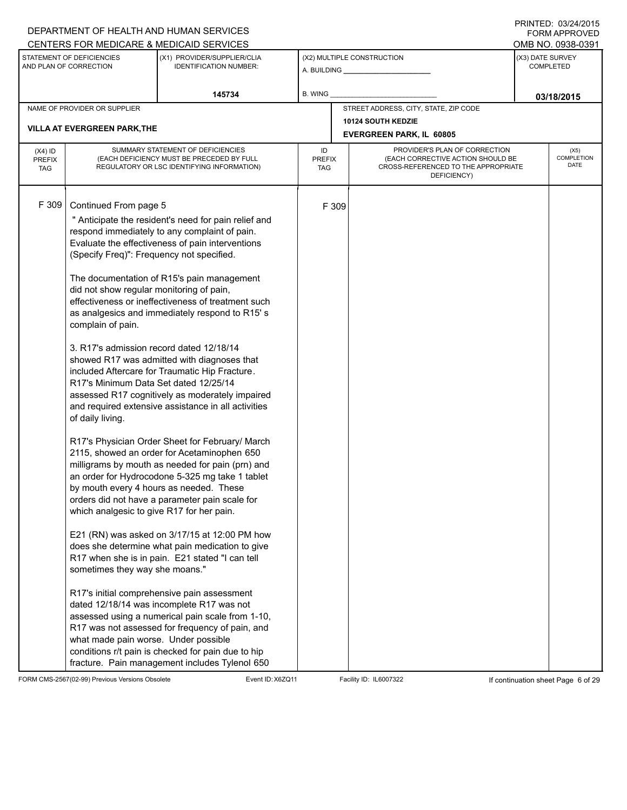# A. BUILDING **\_\_\_\_\_\_\_\_\_\_\_\_\_\_\_\_\_\_\_\_\_\_** (X1) PROVIDER/SUPPLIER/CLIA IDENTIFICATION NUMBER: STATEMENT OF DEFICIENCIES AND PLAN OF CORRECTION (X3) DATE SURVEY COMPLETED FORM APPROVED (X2) MULTIPLE CONSTRUCTION **B. WING** DEPARTMENT OF HEALTH AND HUMAN SERVICES CENTERS FOR MEDICARE & MEDICAID SERVICES **And CENTERS FOR MEDICAL ACCESS** OMB NO. 0938-0391 **145734 03/18/2015** NAME OF PROVIDER OR SUPPLIER STREET ADDRESS, CITY, STATE, ZIP CODE **10124 SOUTH KEDZIE VILLA AT EVERGREEN PARK,THE EVERGREEN PARK, IL 60805** PROVIDER'S PLAN OF CORRECTION (EACH CORRECTIVE ACTION SHOULD BE CROSS-REFERENCED TO THE APPROPRIATE DEFICIENCY) (X5) **COMPLETION** DATE ID PREFIX TAG (X4) ID PREFIX TAG SUMMARY STATEMENT OF DEFICIENCIES (EACH DEFICIENCY MUST BE PRECEDED BY FULL REGULATORY OR LSC IDENTIFYING INFORMATION) F 309 Continued From page 5 F 309 " Anticipate the resident's need for pain relief and respond immediately to any complaint of pain. Evaluate the effectiveness of pain interventions (Specify Freq)": Frequency not specified. The documentation of R15's pain management did not show regular monitoring of pain, effectiveness or ineffectiveness of treatment such as analgesics and immediately respond to R15' s complain of pain. 3. R17's admission record dated 12/18/14 showed R17 was admitted with diagnoses that included Aftercare for Traumatic Hip Fracture. R17's Minimum Data Set dated 12/25/14 assessed R17 cognitively as moderately impaired and required extensive assistance in all activities of daily living. R17's Physician Order Sheet for February/ March 2115, showed an order for Acetaminophen 650 milligrams by mouth as needed for pain (prn) and an order for Hydrocodone 5-325 mg take 1 tablet by mouth every 4 hours as needed. These orders did not have a parameter pain scale for which analgesic to give R17 for her pain. E21 (RN) was asked on 3/17/15 at 12:00 PM how does she determine what pain medication to give R17 when she is in pain. E21 stated "I can tell sometimes they way she moans." R17's initial comprehensive pain assessment dated 12/18/14 was incomplete R17 was not assessed using a numerical pain scale from 1-10, R17 was not assessed for frequency of pain, and what made pain worse. Under possible conditions r/t pain is checked for pain due to hip fracture. Pain management includes Tylenol 650

FORM CMS-2567(02-99) Previous Versions Obsolete Event ID:X6ZQ11 Facility ID: IL6007322 If continuation sheet Page 6 of 29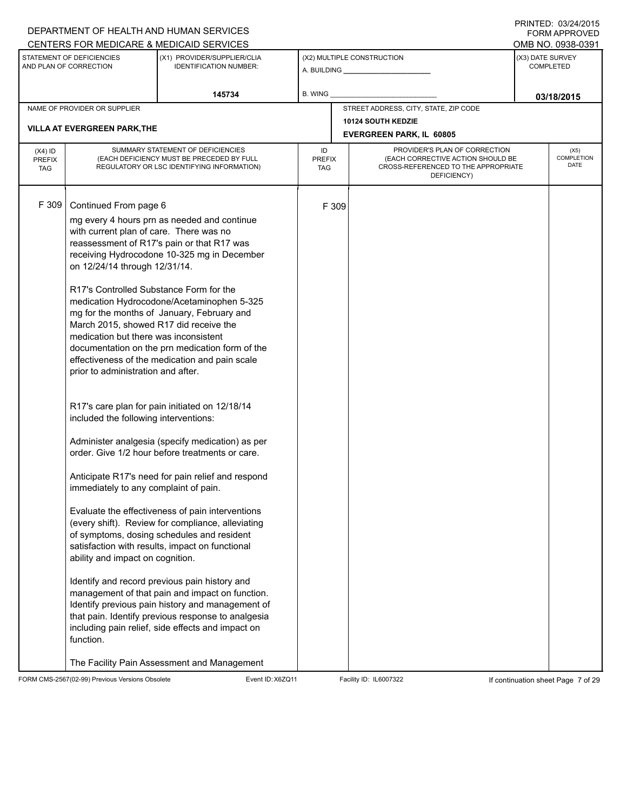|                                          |                                                                                                                                                                                                                                                                                                                                                                                                          | DEPARTMENT OF HEALTH AND HUMAN SERVICES                                                                                                                                                                                                                                                                                                                                                                                                                                                                                                                                                                                                                                                                                                                                                                                                                                                                                                                                                                                              |                                   |       |                                                                                                                          | $1 \times 1 \times 1 = 1$ . $0 \times 1 = 1$<br><b>FORM APPROVED</b> |
|------------------------------------------|----------------------------------------------------------------------------------------------------------------------------------------------------------------------------------------------------------------------------------------------------------------------------------------------------------------------------------------------------------------------------------------------------------|--------------------------------------------------------------------------------------------------------------------------------------------------------------------------------------------------------------------------------------------------------------------------------------------------------------------------------------------------------------------------------------------------------------------------------------------------------------------------------------------------------------------------------------------------------------------------------------------------------------------------------------------------------------------------------------------------------------------------------------------------------------------------------------------------------------------------------------------------------------------------------------------------------------------------------------------------------------------------------------------------------------------------------------|-----------------------------------|-------|--------------------------------------------------------------------------------------------------------------------------|----------------------------------------------------------------------|
|                                          |                                                                                                                                                                                                                                                                                                                                                                                                          | CENTERS FOR MEDICARE & MEDICAID SERVICES                                                                                                                                                                                                                                                                                                                                                                                                                                                                                                                                                                                                                                                                                                                                                                                                                                                                                                                                                                                             |                                   |       |                                                                                                                          | OMB NO. 0938-0391                                                    |
|                                          | STATEMENT OF DEFICIENCIES<br>AND PLAN OF CORRECTION                                                                                                                                                                                                                                                                                                                                                      | (X1) PROVIDER/SUPPLIER/CLIA<br><b>IDENTIFICATION NUMBER:</b>                                                                                                                                                                                                                                                                                                                                                                                                                                                                                                                                                                                                                                                                                                                                                                                                                                                                                                                                                                         |                                   |       | (X2) MULTIPLE CONSTRUCTION                                                                                               | (X3) DATE SURVEY<br><b>COMPLETED</b>                                 |
|                                          |                                                                                                                                                                                                                                                                                                                                                                                                          | 145734                                                                                                                                                                                                                                                                                                                                                                                                                                                                                                                                                                                                                                                                                                                                                                                                                                                                                                                                                                                                                               | B. WING                           |       |                                                                                                                          | 03/18/2015                                                           |
|                                          | NAME OF PROVIDER OR SUPPLIER                                                                                                                                                                                                                                                                                                                                                                             |                                                                                                                                                                                                                                                                                                                                                                                                                                                                                                                                                                                                                                                                                                                                                                                                                                                                                                                                                                                                                                      |                                   |       | STREET ADDRESS, CITY, STATE, ZIP CODE                                                                                    |                                                                      |
|                                          | <b>VILLA AT EVERGREEN PARK, THE</b>                                                                                                                                                                                                                                                                                                                                                                      |                                                                                                                                                                                                                                                                                                                                                                                                                                                                                                                                                                                                                                                                                                                                                                                                                                                                                                                                                                                                                                      |                                   |       | <b>10124 SOUTH KEDZIE</b>                                                                                                |                                                                      |
|                                          |                                                                                                                                                                                                                                                                                                                                                                                                          |                                                                                                                                                                                                                                                                                                                                                                                                                                                                                                                                                                                                                                                                                                                                                                                                                                                                                                                                                                                                                                      |                                   |       | <b>EVERGREEN PARK, IL 60805</b>                                                                                          |                                                                      |
| $(X4)$ ID<br><b>PREFIX</b><br><b>TAG</b> |                                                                                                                                                                                                                                                                                                                                                                                                          | SUMMARY STATEMENT OF DEFICIENCIES<br>(EACH DEFICIENCY MUST BE PRECEDED BY FULL<br>REGULATORY OR LSC IDENTIFYING INFORMATION)                                                                                                                                                                                                                                                                                                                                                                                                                                                                                                                                                                                                                                                                                                                                                                                                                                                                                                         | ID<br><b>PREFIX</b><br><b>TAG</b> |       | PROVIDER'S PLAN OF CORRECTION<br>(EACH CORRECTIVE ACTION SHOULD BE<br>CROSS-REFERENCED TO THE APPROPRIATE<br>DEFICIENCY) | (X5)<br>COMPLETION<br>DATE                                           |
| F 309                                    | Continued From page 6<br>with current plan of care. There was no<br>on 12/24/14 through 12/31/14.<br>R17's Controlled Substance Form for the<br>March 2015, showed R17 did receive the<br>medication but there was inconsistent<br>prior to administration and after.<br>included the following interventions:<br>immediately to any complaint of pain.<br>ability and impact on cognition.<br>function. | mg every 4 hours prn as needed and continue<br>reassessment of R17's pain or that R17 was<br>receiving Hydrocodone 10-325 mg in December<br>medication Hydrocodone/Acetaminophen 5-325<br>mg for the months of January, February and<br>documentation on the prn medication form of the<br>effectiveness of the medication and pain scale<br>R17's care plan for pain initiated on 12/18/14<br>Administer analgesia (specify medication) as per<br>order. Give 1/2 hour before treatments or care.<br>Anticipate R17's need for pain relief and respond<br>Evaluate the effectiveness of pain interventions<br>(every shift). Review for compliance, alleviating<br>of symptoms, dosing schedules and resident<br>satisfaction with results, impact on functional<br>Identify and record previous pain history and<br>management of that pain and impact on function.<br>Identify previous pain history and management of<br>that pain. Identify previous response to analgesia<br>including pain relief, side effects and impact on |                                   | F 309 |                                                                                                                          |                                                                      |
|                                          |                                                                                                                                                                                                                                                                                                                                                                                                          | The Facility Pain Assessment and Management                                                                                                                                                                                                                                                                                                                                                                                                                                                                                                                                                                                                                                                                                                                                                                                                                                                                                                                                                                                          |                                   |       |                                                                                                                          |                                                                      |

FORM CMS-2567(02-99) Previous Versions Obsolete Event ID:X6ZQ11 Facility ID: IL6007322 If continuation sheet Page 7 of 29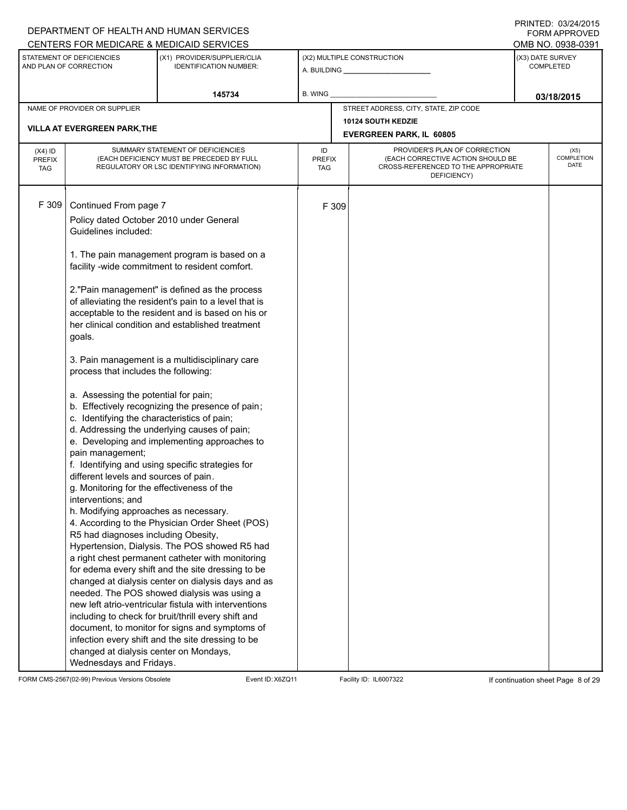| DEPARTMENT OF HEALTH AND HUMAN SERVICES                                                                                                                                                                                                                                                                                                                                                                                                                                                               |                                                                                                                                                                                                                                                                                                                                                                                                                                                                                                                                                                                                                                                                                                                                                                                                                                                                                                                                                                                                                                                                                                                      |                            |                                                                                                                          | <b>FORM APPROVED</b>                 |
|-------------------------------------------------------------------------------------------------------------------------------------------------------------------------------------------------------------------------------------------------------------------------------------------------------------------------------------------------------------------------------------------------------------------------------------------------------------------------------------------------------|----------------------------------------------------------------------------------------------------------------------------------------------------------------------------------------------------------------------------------------------------------------------------------------------------------------------------------------------------------------------------------------------------------------------------------------------------------------------------------------------------------------------------------------------------------------------------------------------------------------------------------------------------------------------------------------------------------------------------------------------------------------------------------------------------------------------------------------------------------------------------------------------------------------------------------------------------------------------------------------------------------------------------------------------------------------------------------------------------------------------|----------------------------|--------------------------------------------------------------------------------------------------------------------------|--------------------------------------|
| CENTERS FOR MEDICARE & MEDICAID SERVICES                                                                                                                                                                                                                                                                                                                                                                                                                                                              |                                                                                                                                                                                                                                                                                                                                                                                                                                                                                                                                                                                                                                                                                                                                                                                                                                                                                                                                                                                                                                                                                                                      |                            |                                                                                                                          | OMB NO. 0938-0391                    |
| STATEMENT OF DEFICIENCIES<br>AND PLAN OF CORRECTION                                                                                                                                                                                                                                                                                                                                                                                                                                                   | (X1) PROVIDER/SUPPLIER/CLIA<br><b>IDENTIFICATION NUMBER:</b>                                                                                                                                                                                                                                                                                                                                                                                                                                                                                                                                                                                                                                                                                                                                                                                                                                                                                                                                                                                                                                                         |                            | (X2) MULTIPLE CONSTRUCTION                                                                                               | (X3) DATE SURVEY<br><b>COMPLETED</b> |
|                                                                                                                                                                                                                                                                                                                                                                                                                                                                                                       | 145734                                                                                                                                                                                                                                                                                                                                                                                                                                                                                                                                                                                                                                                                                                                                                                                                                                                                                                                                                                                                                                                                                                               | B. WING                    |                                                                                                                          | 03/18/2015                           |
| NAME OF PROVIDER OR SUPPLIER                                                                                                                                                                                                                                                                                                                                                                                                                                                                          |                                                                                                                                                                                                                                                                                                                                                                                                                                                                                                                                                                                                                                                                                                                                                                                                                                                                                                                                                                                                                                                                                                                      |                            | STREET ADDRESS, CITY, STATE, ZIP CODE                                                                                    |                                      |
|                                                                                                                                                                                                                                                                                                                                                                                                                                                                                                       |                                                                                                                                                                                                                                                                                                                                                                                                                                                                                                                                                                                                                                                                                                                                                                                                                                                                                                                                                                                                                                                                                                                      |                            | 10124 SOUTH KEDZIE                                                                                                       |                                      |
| <b>VILLA AT EVERGREEN PARK, THE</b>                                                                                                                                                                                                                                                                                                                                                                                                                                                                   |                                                                                                                                                                                                                                                                                                                                                                                                                                                                                                                                                                                                                                                                                                                                                                                                                                                                                                                                                                                                                                                                                                                      |                            | <b>EVERGREEN PARK, IL 60805</b>                                                                                          |                                      |
| $(X4)$ ID<br><b>PREFIX</b><br><b>TAG</b>                                                                                                                                                                                                                                                                                                                                                                                                                                                              | SUMMARY STATEMENT OF DEFICIENCIES<br>(EACH DEFICIENCY MUST BE PRECEDED BY FULL<br>REGULATORY OR LSC IDENTIFYING INFORMATION)                                                                                                                                                                                                                                                                                                                                                                                                                                                                                                                                                                                                                                                                                                                                                                                                                                                                                                                                                                                         | ID<br><b>PREFIX</b><br>TAG | PROVIDER'S PLAN OF CORRECTION<br>(EACH CORRECTIVE ACTION SHOULD BE<br>CROSS-REFERENCED TO THE APPROPRIATE<br>DEFICIENCY) | (X5)<br>COMPLETION<br>DATE           |
| F 309<br>Continued From page 7<br>Policy dated October 2010 under General<br>Guidelines included:<br>goals.<br>process that includes the following:<br>a. Assessing the potential for pain;<br>c. Identifying the characteristics of pain;<br>pain management;<br>different levels and sources of pain.<br>g. Monitoring for the effectiveness of the<br>interventions; and<br>h. Modifying approaches as necessary.<br>R5 had diagnoses including Obesity,<br>changed at dialysis center on Mondays, | 1. The pain management program is based on a<br>facility -wide commitment to resident comfort.<br>2."Pain management" is defined as the process<br>of alleviating the resident's pain to a level that is<br>acceptable to the resident and is based on his or<br>her clinical condition and established treatment<br>3. Pain management is a multidisciplinary care<br>b. Effectively recognizing the presence of pain;<br>d. Addressing the underlying causes of pain;<br>e. Developing and implementing approaches to<br>f. Identifying and using specific strategies for<br>4. According to the Physician Order Sheet (POS)<br>Hypertension, Dialysis. The POS showed R5 had<br>a right chest permanent catheter with monitoring<br>for edema every shift and the site dressing to be<br>changed at dialysis center on dialysis days and as<br>needed. The POS showed dialysis was using a<br>new left atrio-ventricular fistula with interventions<br>including to check for bruit/thrill every shift and<br>document, to monitor for signs and symptoms of<br>infection every shift and the site dressing to be | F 309                      |                                                                                                                          |                                      |

FORM CMS-2567(02-99) Previous Versions Obsolete Event ID:X6ZQ11 Facility ID: IL6007322 If continuation sheet Page 8 of 29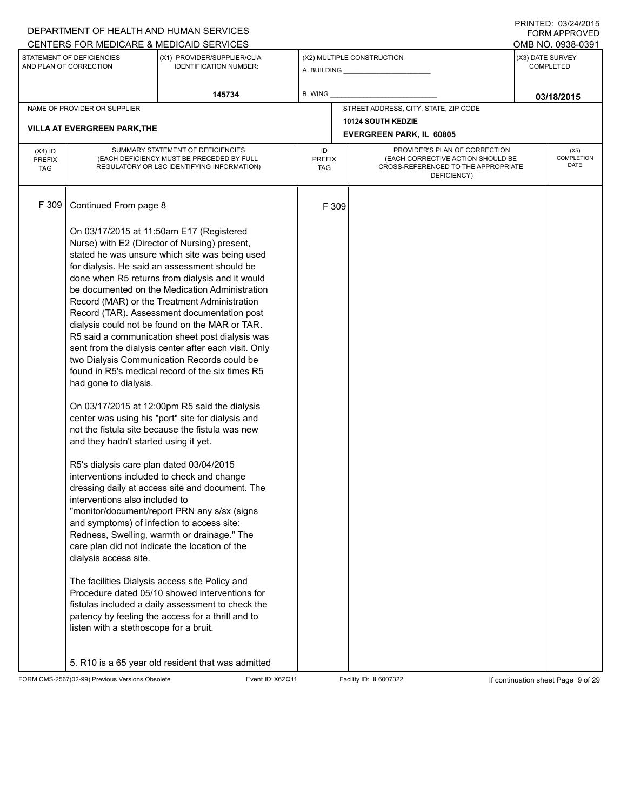|                                          |                                                     | DEPARTMENT OF HEALTH AND HUMAN SERVICES                                                                                      |                            |       |                                                                                                                          |                  | <b>FORM APPROVED</b>              |
|------------------------------------------|-----------------------------------------------------|------------------------------------------------------------------------------------------------------------------------------|----------------------------|-------|--------------------------------------------------------------------------------------------------------------------------|------------------|-----------------------------------|
|                                          |                                                     | CENTERS FOR MEDICARE & MEDICAID SERVICES                                                                                     |                            |       |                                                                                                                          |                  | OMB NO. 0938-0391                 |
|                                          | STATEMENT OF DEFICIENCIES<br>AND PLAN OF CORRECTION | (X1) PROVIDER/SUPPLIER/CLIA<br><b>IDENTIFICATION NUMBER:</b>                                                                 |                            |       | (X2) MULTIPLE CONSTRUCTION                                                                                               | (X3) DATE SURVEY | <b>COMPLETED</b>                  |
|                                          |                                                     | 145734                                                                                                                       | B. WING                    |       |                                                                                                                          |                  | 03/18/2015                        |
|                                          | NAME OF PROVIDER OR SUPPLIER                        |                                                                                                                              |                            |       | STREET ADDRESS, CITY, STATE, ZIP CODE                                                                                    |                  |                                   |
|                                          | <b>VILLA AT EVERGREEN PARK, THE</b>                 |                                                                                                                              |                            |       | 10124 SOUTH KEDZIE                                                                                                       |                  |                                   |
|                                          |                                                     |                                                                                                                              |                            |       | <b>EVERGREEN PARK, IL 60805</b>                                                                                          |                  |                                   |
| $(X4)$ ID<br><b>PREFIX</b><br><b>TAG</b> |                                                     | SUMMARY STATEMENT OF DEFICIENCIES<br>(EACH DEFICIENCY MUST BE PRECEDED BY FULL<br>REGULATORY OR LSC IDENTIFYING INFORMATION) | ID<br><b>PREFIX</b><br>TAG |       | PROVIDER'S PLAN OF CORRECTION<br>(EACH CORRECTIVE ACTION SHOULD BE<br>CROSS-REFERENCED TO THE APPROPRIATE<br>DEFICIENCY) |                  | (X5)<br>COMPLETION<br><b>DATE</b> |
| F 309                                    | Continued From page 8                               |                                                                                                                              |                            | F 309 |                                                                                                                          |                  |                                   |
|                                          |                                                     | On 03/17/2015 at 11:50am E17 (Registered<br>Nurse) with E2 (Director of Nursing) present,                                    |                            |       |                                                                                                                          |                  |                                   |
|                                          |                                                     | stated he was unsure which site was being used<br>for dialysis. He said an assessment should be                              |                            |       |                                                                                                                          |                  |                                   |
|                                          |                                                     | done when R5 returns from dialysis and it would<br>be documented on the Medication Administration                            |                            |       |                                                                                                                          |                  |                                   |
|                                          |                                                     | Record (MAR) or the Treatment Administration                                                                                 |                            |       |                                                                                                                          |                  |                                   |
|                                          |                                                     | Record (TAR). Assessment documentation post                                                                                  |                            |       |                                                                                                                          |                  |                                   |
|                                          |                                                     | dialysis could not be found on the MAR or TAR.<br>R5 said a communication sheet post dialysis was                            |                            |       |                                                                                                                          |                  |                                   |
|                                          |                                                     | sent from the dialysis center after each visit. Only                                                                         |                            |       |                                                                                                                          |                  |                                   |
|                                          |                                                     | two Dialysis Communication Records could be<br>found in R5's medical record of the six times R5                              |                            |       |                                                                                                                          |                  |                                   |
|                                          | had gone to dialysis.                               |                                                                                                                              |                            |       |                                                                                                                          |                  |                                   |
|                                          |                                                     | On 03/17/2015 at 12:00pm R5 said the dialysis<br>center was using his "port" site for dialysis and                           |                            |       |                                                                                                                          |                  |                                   |
|                                          |                                                     | not the fistula site because the fistula was new                                                                             |                            |       |                                                                                                                          |                  |                                   |
|                                          | and they hadn't started using it yet.               |                                                                                                                              |                            |       |                                                                                                                          |                  |                                   |
|                                          | R5's dialysis care plan dated 03/04/2015            |                                                                                                                              |                            |       |                                                                                                                          |                  |                                   |
|                                          | interventions also included to                      | interventions included to check and change<br>dressing daily at access site and document. The                                |                            |       |                                                                                                                          |                  |                                   |
|                                          |                                                     | "monitor/document/report PRN any s/sx (signs                                                                                 |                            |       |                                                                                                                          |                  |                                   |
|                                          | and symptoms) of infection to access site:          | Redness, Swelling, warmth or drainage." The                                                                                  |                            |       |                                                                                                                          |                  |                                   |
|                                          |                                                     | care plan did not indicate the location of the                                                                               |                            |       |                                                                                                                          |                  |                                   |
|                                          | dialysis access site.                               |                                                                                                                              |                            |       |                                                                                                                          |                  |                                   |
|                                          |                                                     | The facilities Dialysis access site Policy and                                                                               |                            |       |                                                                                                                          |                  |                                   |
|                                          |                                                     | Procedure dated 05/10 showed interventions for<br>fistulas included a daily assessment to check the                          |                            |       |                                                                                                                          |                  |                                   |
|                                          |                                                     | patency by feeling the access for a thrill and to                                                                            |                            |       |                                                                                                                          |                  |                                   |
|                                          | listen with a stethoscope for a bruit.              |                                                                                                                              |                            |       |                                                                                                                          |                  |                                   |
|                                          |                                                     | 5. R10 is a 65 year old resident that was admitted                                                                           |                            |       |                                                                                                                          |                  |                                   |

FORM CMS-2567(02-99) Previous Versions Obsolete Event ID:X6ZQ11 Facility ID: IL6007322 If continuation sheet Page 9 of 29

DEPARTMENT OF HEALTH AND HUMAN SERVICES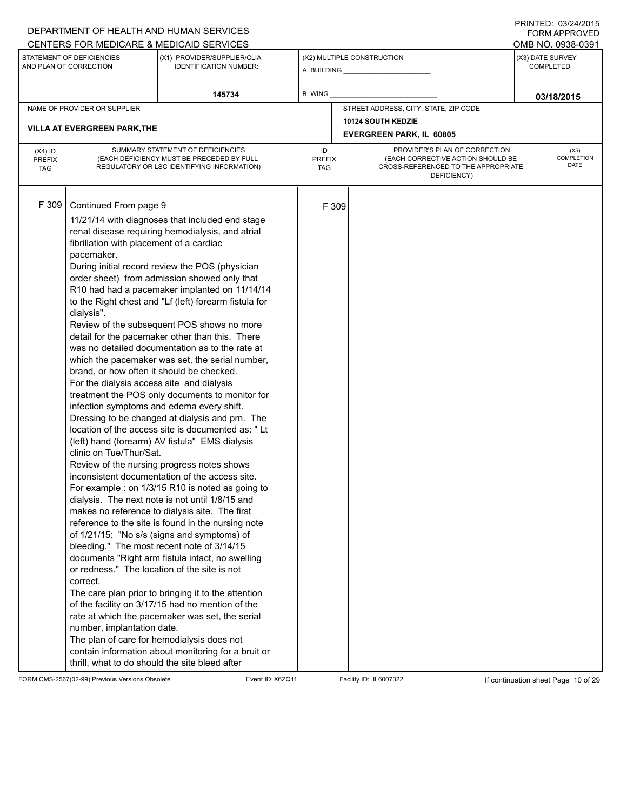#### A. BUILDING **\_\_\_\_\_\_\_\_\_\_\_\_\_\_\_\_\_\_\_\_\_\_** (X1) PROVIDER/SUPPLIER/CLIA IDENTIFICATION NUMBER: STATEMENT OF DEFICIENCIES AND PLAN OF CORRECTION (X3) DATE SURVEY COMPLETED FORM APPROVED (X2) MULTIPLE CONSTRUCTION **B. WING** CENTERS FOR MEDICARE & MEDICAID SERVICES **And CENTERS FOR MEDICAL ACCESS** OMB NO. 0938-0391 **145734 03/18/2015** NAME OF PROVIDER OR SUPPLIER STREET ADDRESS, CITY, STATE, ZIP CODE **10124 SOUTH KEDZIE VILLA AT EVERGREEN PARK,THE EVERGREEN PARK, IL 60805** PROVIDER'S PLAN OF CORRECTION (EACH CORRECTIVE ACTION SHOULD BE CROSS-REFERENCED TO THE APPROPRIATE DEFICIENCY) (X5) **COMPLETION** DATE ID PREFIX TAG (X4) ID PREFIX TAG SUMMARY STATEMENT OF DEFICIENCIES (EACH DEFICIENCY MUST BE PRECEDED BY FULL REGULATORY OR LSC IDENTIFYING INFORMATION) F 309 Continued From page 9 F 309 11/21/14 with diagnoses that included end stage renal disease requiring hemodialysis, and atrial fibrillation with placement of a cardiac pacemaker. During initial record review the POS (physician order sheet) from admission showed only that R10 had had a pacemaker implanted on 11/14/14 to the Right chest and "Lf (left) forearm fistula for dialysis". Review of the subsequent POS shows no more detail for the pacemaker other than this. There was no detailed documentation as to the rate at which the pacemaker was set, the serial number, brand, or how often it should be checked. For the dialysis access site and dialysis treatment the POS only documents to monitor for infection symptoms and edema every shift. Dressing to be changed at dialysis and prn. The location of the access site is documented as: " Lt (left) hand (forearm) AV fistula" EMS dialysis clinic on Tue/Thur/Sat. Review of the nursing progress notes shows inconsistent documentation of the access site. For example : on 1/3/15 R10 is noted as going to dialysis. The next note is not until 1/8/15 and makes no reference to dialysis site. The first reference to the site is found in the nursing note of 1/21/15: "No s/s (signs and symptoms) of bleeding." The most recent note of 3/14/15 documents "Right arm fistula intact, no swelling or redness." The location of the site is not correct. The care plan prior to bringing it to the attention of the facility on 3/17/15 had no mention of the rate at which the pacemaker was set, the serial number, implantation date. The plan of care for hemodialysis does not contain information about monitoring for a bruit or thrill, what to do should the site bleed after

FORM CMS-2567(02-99) Previous Versions Obsolete Event ID:X6ZQ11 Facility ID: IL6007322 If continuation sheet Page 10 of 29

DEPARTMENT OF HEALTH AND HUMAN SERVICES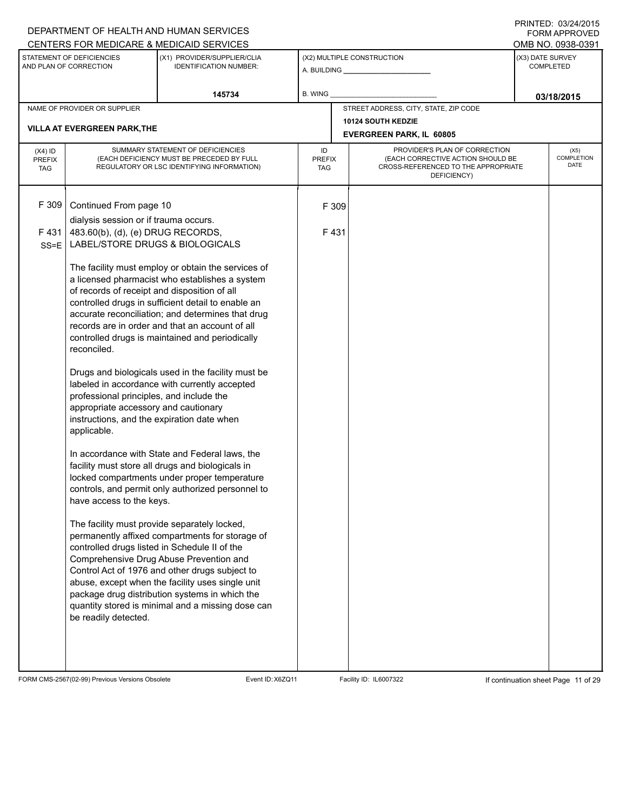# A. BUILDING **\_\_\_\_\_\_\_\_\_\_\_\_\_\_\_\_\_\_\_\_\_\_** (X1) PROVIDER/SUPPLIER/CLIA IDENTIFICATION NUMBER: STATEMENT OF DEFICIENCIES AND PLAN OF CORRECTION (X3) DATE SURVEY COMPLETED FORM APPROVED (X2) MULTIPLE CONSTRUCTION **B. WING** CENTERS FOR MEDICARE & MEDICAID SERVICES **And CENTERS FOR MEDICAL ACCESS** OMB NO. 0938-0391 **145734 B. WING D. CONSUMING D. CONSUMING D. CONSUMING D. CONSUMING D. CONSUMING D. CONSUMING D. CONSUMING D. CONSUMING D. CONSUMING D. CONSUMING D. CONSUMING D. CONSUMING D. CONSUMING D. CONS** NAME OF PROVIDER OR SUPPLIER STREET ADDRESS, CITY, STATE, ZIP CODE **10124 SOUTH KEDZIE VILLA AT EVERGREEN PARK,THE EVERGREEN PARK, IL 60805** PROVIDER'S PLAN OF CORRECTION (EACH CORRECTIVE ACTION SHOULD BE CROSS-REFERENCED TO THE APPROPRIATE DEFICIENCY) (X5) **COMPLETION** DATE ID PREFIX TAG (X4) ID PREFIX TAG SUMMARY STATEMENT OF DEFICIENCIES (EACH DEFICIENCY MUST BE PRECEDED BY FULL REGULATORY OR LSC IDENTIFYING INFORMATION) F 309 Continued From page 10 F 309 dialysis session or if trauma occurs. F 431 SS=E 483.60(b), (d), (e) DRUG RECORDS, LABEL/STORE DRUGS & BIOLOGICALS The facility must employ or obtain the services of a licensed pharmacist who establishes a system of records of receipt and disposition of all controlled drugs in sufficient detail to enable an accurate reconciliation; and determines that drug records are in order and that an account of all controlled drugs is maintained and periodically reconciled. Drugs and biologicals used in the facility must be labeled in accordance with currently accepted professional principles, and include the appropriate accessory and cautionary instructions, and the expiration date when applicable. In accordance with State and Federal laws, the facility must store all drugs and biologicals in locked compartments under proper temperature controls, and permit only authorized personnel to have access to the keys. The facility must provide separately locked, permanently affixed compartments for storage of controlled drugs listed in Schedule II of the Comprehensive Drug Abuse Prevention and Control Act of 1976 and other drugs subject to abuse, except when the facility uses single unit package drug distribution systems in which the quantity stored is minimal and a missing dose can be readily detected. F 431

FORM CMS-2567(02-99) Previous Versions Obsolete Event ID:X6ZQ11 Facility ID: IL6007322 If continuation sheet Page 11 of 29

DEPARTMENT OF HEALTH AND HUMAN SERVICES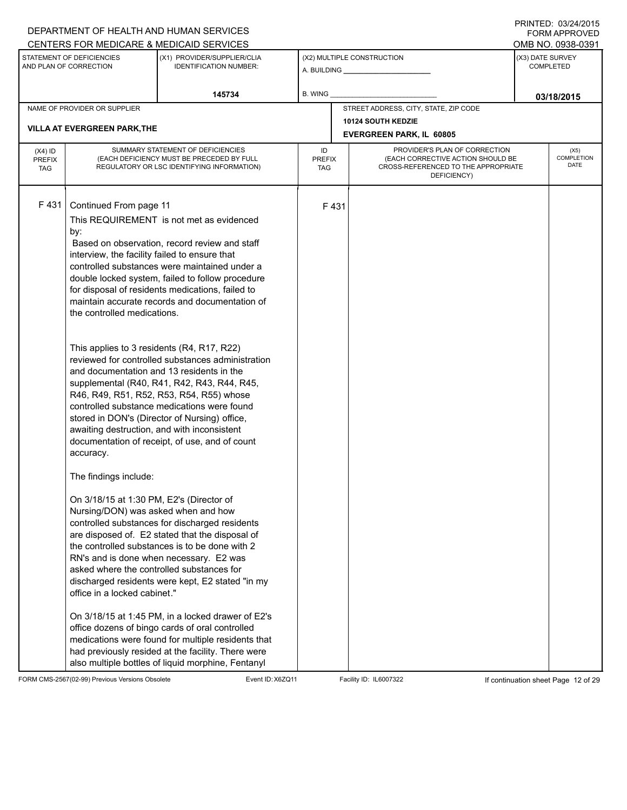|                             |                                               | DEPARTMENT OF HEALTH AND HUMAN SERVICES                                                               |                      |      |                                                                          |                  | <b>FORM APPROVED</b>      |
|-----------------------------|-----------------------------------------------|-------------------------------------------------------------------------------------------------------|----------------------|------|--------------------------------------------------------------------------|------------------|---------------------------|
|                             | STATEMENT OF DEFICIENCIES                     | CENTERS FOR MEDICARE & MEDICAID SERVICES<br>(X1) PROVIDER/SUPPLIER/CLIA                               |                      |      | (X2) MULTIPLE CONSTRUCTION                                               | (X3) DATE SURVEY | OMB NO. 0938-0391         |
|                             | AND PLAN OF CORRECTION                        | <b>IDENTIFICATION NUMBER:</b>                                                                         |                      |      |                                                                          |                  | <b>COMPLETED</b>          |
|                             |                                               | 145734                                                                                                | <b>B. WING</b>       |      |                                                                          |                  | 03/18/2015                |
|                             | NAME OF PROVIDER OR SUPPLIER                  |                                                                                                       |                      |      | STREET ADDRESS, CITY, STATE, ZIP CODE                                    |                  |                           |
|                             |                                               |                                                                                                       |                      |      | <b>10124 SOUTH KEDZIE</b>                                                |                  |                           |
|                             | <b>VILLA AT EVERGREEN PARK, THE</b>           |                                                                                                       |                      |      | <b>EVERGREEN PARK, IL 60805</b>                                          |                  |                           |
| $(X4)$ ID                   |                                               | SUMMARY STATEMENT OF DEFICIENCIES                                                                     | ID                   |      | PROVIDER'S PLAN OF CORRECTION                                            |                  | (X5)                      |
| <b>PREFIX</b><br><b>TAG</b> |                                               | (EACH DEFICIENCY MUST BE PRECEDED BY FULL<br>REGULATORY OR LSC IDENTIFYING INFORMATION)               | <b>PREFIX</b><br>TAG |      | (EACH CORRECTIVE ACTION SHOULD BE<br>CROSS-REFERENCED TO THE APPROPRIATE |                  | <b>COMPLETION</b><br>DATE |
|                             |                                               |                                                                                                       |                      |      | DEFICIENCY)                                                              |                  |                           |
|                             |                                               |                                                                                                       |                      |      |                                                                          |                  |                           |
| F431                        | Continued From page 11                        |                                                                                                       |                      | F431 |                                                                          |                  |                           |
|                             |                                               | This REQUIREMENT is not met as evidenced                                                              |                      |      |                                                                          |                  |                           |
|                             | by:                                           |                                                                                                       |                      |      |                                                                          |                  |                           |
|                             | interview, the facility failed to ensure that | Based on observation, record review and staff                                                         |                      |      |                                                                          |                  |                           |
|                             |                                               | controlled substances were maintained under a                                                         |                      |      |                                                                          |                  |                           |
|                             |                                               | double locked system, failed to follow procedure                                                      |                      |      |                                                                          |                  |                           |
|                             |                                               | for disposal of residents medications, failed to                                                      |                      |      |                                                                          |                  |                           |
|                             |                                               | maintain accurate records and documentation of                                                        |                      |      |                                                                          |                  |                           |
|                             | the controlled medications.                   |                                                                                                       |                      |      |                                                                          |                  |                           |
|                             |                                               |                                                                                                       |                      |      |                                                                          |                  |                           |
|                             | This applies to 3 residents (R4, R17, R22)    |                                                                                                       |                      |      |                                                                          |                  |                           |
|                             |                                               | reviewed for controlled substances administration                                                     |                      |      |                                                                          |                  |                           |
|                             | and documentation and 13 residents in the     |                                                                                                       |                      |      |                                                                          |                  |                           |
|                             |                                               | supplemental (R40, R41, R42, R43, R44, R45,<br>R46, R49, R51, R52, R53, R54, R55) whose               |                      |      |                                                                          |                  |                           |
|                             |                                               | controlled substance medications were found                                                           |                      |      |                                                                          |                  |                           |
|                             |                                               | stored in DON's (Director of Nursing) office,                                                         |                      |      |                                                                          |                  |                           |
|                             | awaiting destruction, and with inconsistent   |                                                                                                       |                      |      |                                                                          |                  |                           |
|                             |                                               | documentation of receipt, of use, and of count                                                        |                      |      |                                                                          |                  |                           |
|                             | accuracy.                                     |                                                                                                       |                      |      |                                                                          |                  |                           |
|                             | The findings include:                         |                                                                                                       |                      |      |                                                                          |                  |                           |
|                             | On 3/18/15 at 1:30 PM, E2's (Director of      |                                                                                                       |                      |      |                                                                          |                  |                           |
|                             | Nursing/DON) was asked when and how           |                                                                                                       |                      |      |                                                                          |                  |                           |
|                             |                                               | controlled substances for discharged residents                                                        |                      |      |                                                                          |                  |                           |
|                             |                                               | are disposed of. E2 stated that the disposal of                                                       |                      |      |                                                                          |                  |                           |
|                             |                                               | the controlled substances is to be done with 2                                                        |                      |      |                                                                          |                  |                           |
|                             | asked where the controlled substances for     | RN's and is done when necessary. E2 was                                                               |                      |      |                                                                          |                  |                           |
|                             |                                               | discharged residents were kept, E2 stated "in my                                                      |                      |      |                                                                          |                  |                           |
|                             | office in a locked cabinet."                  |                                                                                                       |                      |      |                                                                          |                  |                           |
|                             |                                               |                                                                                                       |                      |      |                                                                          |                  |                           |
|                             |                                               | On 3/18/15 at 1:45 PM, in a locked drawer of E2's                                                     |                      |      |                                                                          |                  |                           |
|                             |                                               | office dozens of bingo cards of oral controlled<br>medications were found for multiple residents that |                      |      |                                                                          |                  |                           |
|                             |                                               | had previously resided at the facility. There were                                                    |                      |      |                                                                          |                  |                           |
|                             |                                               | also multiple bottles of liquid morphine, Fentanyl                                                    |                      |      |                                                                          |                  |                           |

FORM CMS-2567(02-99) Previous Versions Obsolete Event ID:X6ZQ11 Facility ID: IL6007322 If continuation sheet Page 12 of 29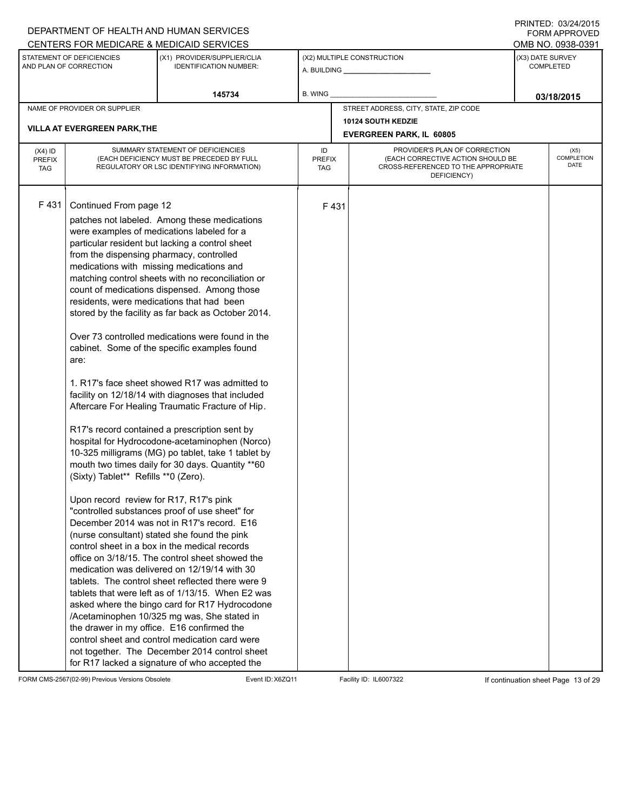|                                          |                                                                                                                                                              | DEPARTMENT OF HEALTH AND HUMAN SERVICES                                                                                                                                                                                                                                                                                                                                                                                                                                                                                                                                                                                                                                                                                                                                                                                                                                                                                                                                                                                                                                                                                                                                                                                                                                                                                                                                                                                                                                                                                                                                                          |                            |      |                                                                                                                          |                  | $1 \times 1 \times 1 = 1$ . $0 \times 1 = 1$<br><b>FORM APPROVED</b> |
|------------------------------------------|--------------------------------------------------------------------------------------------------------------------------------------------------------------|--------------------------------------------------------------------------------------------------------------------------------------------------------------------------------------------------------------------------------------------------------------------------------------------------------------------------------------------------------------------------------------------------------------------------------------------------------------------------------------------------------------------------------------------------------------------------------------------------------------------------------------------------------------------------------------------------------------------------------------------------------------------------------------------------------------------------------------------------------------------------------------------------------------------------------------------------------------------------------------------------------------------------------------------------------------------------------------------------------------------------------------------------------------------------------------------------------------------------------------------------------------------------------------------------------------------------------------------------------------------------------------------------------------------------------------------------------------------------------------------------------------------------------------------------------------------------------------------------|----------------------------|------|--------------------------------------------------------------------------------------------------------------------------|------------------|----------------------------------------------------------------------|
|                                          |                                                                                                                                                              | CENTERS FOR MEDICARE & MEDICAID SERVICES                                                                                                                                                                                                                                                                                                                                                                                                                                                                                                                                                                                                                                                                                                                                                                                                                                                                                                                                                                                                                                                                                                                                                                                                                                                                                                                                                                                                                                                                                                                                                         |                            |      |                                                                                                                          |                  | OMB NO. 0938-0391                                                    |
|                                          | STATEMENT OF DEFICIENCIES<br>AND PLAN OF CORRECTION                                                                                                          | (X1) PROVIDER/SUPPLIER/CLIA<br><b>IDENTIFICATION NUMBER:</b>                                                                                                                                                                                                                                                                                                                                                                                                                                                                                                                                                                                                                                                                                                                                                                                                                                                                                                                                                                                                                                                                                                                                                                                                                                                                                                                                                                                                                                                                                                                                     |                            |      | (X2) MULTIPLE CONSTRUCTION                                                                                               | (X3) DATE SURVEY | COMPLETED                                                            |
|                                          |                                                                                                                                                              | 145734                                                                                                                                                                                                                                                                                                                                                                                                                                                                                                                                                                                                                                                                                                                                                                                                                                                                                                                                                                                                                                                                                                                                                                                                                                                                                                                                                                                                                                                                                                                                                                                           | <b>B. WING</b>             |      |                                                                                                                          |                  | 03/18/2015                                                           |
|                                          | NAME OF PROVIDER OR SUPPLIER                                                                                                                                 |                                                                                                                                                                                                                                                                                                                                                                                                                                                                                                                                                                                                                                                                                                                                                                                                                                                                                                                                                                                                                                                                                                                                                                                                                                                                                                                                                                                                                                                                                                                                                                                                  |                            |      | STREET ADDRESS, CITY, STATE, ZIP CODE                                                                                    |                  |                                                                      |
|                                          |                                                                                                                                                              |                                                                                                                                                                                                                                                                                                                                                                                                                                                                                                                                                                                                                                                                                                                                                                                                                                                                                                                                                                                                                                                                                                                                                                                                                                                                                                                                                                                                                                                                                                                                                                                                  |                            |      | <b>10124 SOUTH KEDZIE</b>                                                                                                |                  |                                                                      |
|                                          | <b>VILLA AT EVERGREEN PARK, THE</b>                                                                                                                          |                                                                                                                                                                                                                                                                                                                                                                                                                                                                                                                                                                                                                                                                                                                                                                                                                                                                                                                                                                                                                                                                                                                                                                                                                                                                                                                                                                                                                                                                                                                                                                                                  |                            |      | <b>EVERGREEN PARK, IL 60805</b>                                                                                          |                  |                                                                      |
| $(X4)$ ID<br><b>PREFIX</b><br><b>TAG</b> |                                                                                                                                                              | SUMMARY STATEMENT OF DEFICIENCIES<br>(EACH DEFICIENCY MUST BE PRECEDED BY FULL<br>REGULATORY OR LSC IDENTIFYING INFORMATION)                                                                                                                                                                                                                                                                                                                                                                                                                                                                                                                                                                                                                                                                                                                                                                                                                                                                                                                                                                                                                                                                                                                                                                                                                                                                                                                                                                                                                                                                     | ID<br><b>PREFIX</b><br>TAG |      | PROVIDER'S PLAN OF CORRECTION<br>(EACH CORRECTIVE ACTION SHOULD BE<br>CROSS-REFERENCED TO THE APPROPRIATE<br>DEFICIENCY) |                  | (X5)<br><b>COMPLETION</b><br>DATE                                    |
| F431                                     | Continued From page 12<br>from the dispensing pharmacy, controlled<br>are:<br>(Sixty) Tablet** Refills **0 (Zero).<br>Upon record review for R17, R17's pink | patches not labeled. Among these medications<br>were examples of medications labeled for a<br>particular resident but lacking a control sheet<br>medications with missing medications and<br>matching control sheets with no reconciliation or<br>count of medications dispensed. Among those<br>residents, were medications that had been<br>stored by the facility as far back as October 2014.<br>Over 73 controlled medications were found in the<br>cabinet. Some of the specific examples found<br>1. R17's face sheet showed R17 was admitted to<br>facility on 12/18/14 with diagnoses that included<br>Aftercare For Healing Traumatic Fracture of Hip.<br>R17's record contained a prescription sent by<br>hospital for Hydrocodone-acetaminophen (Norco)<br>10-325 milligrams (MG) po tablet, take 1 tablet by<br>mouth two times daily for 30 days. Quantity ** 60<br>"controlled substances proof of use sheet" for<br>December 2014 was not in R17's record. E16<br>(nurse consultant) stated she found the pink<br>control sheet in a box in the medical records<br>office on 3/18/15. The control sheet showed the<br>medication was delivered on 12/19/14 with 30<br>tablets. The control sheet reflected there were 9<br>tablets that were left as of 1/13/15. When E2 was<br>asked where the bingo card for R17 Hydrocodone<br>/Acetaminophen 10/325 mg was, She stated in<br>the drawer in my office. E16 confirmed the<br>control sheet and control medication card were<br>not together. The December 2014 control sheet<br>for R17 lacked a signature of who accepted the |                            | F431 |                                                                                                                          |                  |                                                                      |

FORM CMS-2567(02-99) Previous Versions Obsolete Event ID:X6ZQ11 Facility ID: IL6007322 If continuation sheet Page 13 of 29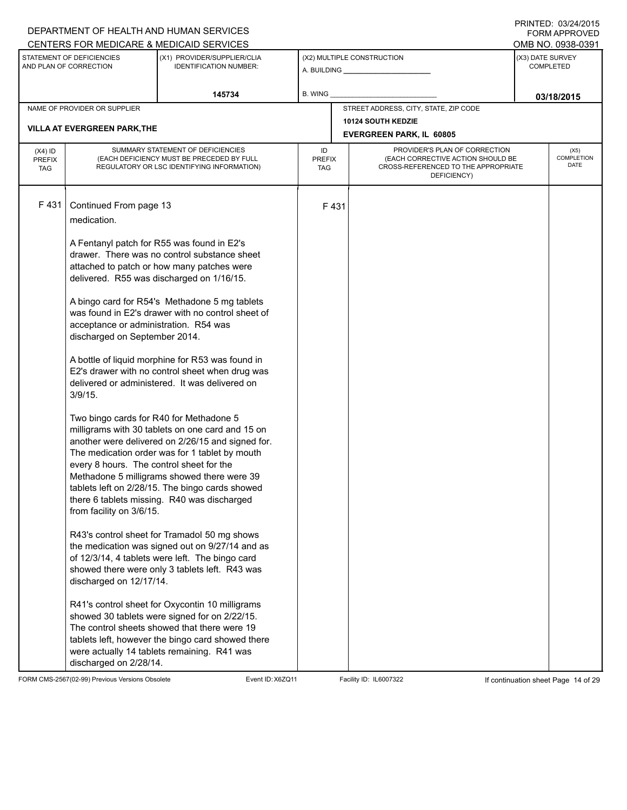|                                          |                                                                                                                                                                                                                                                  | DEPARTMENT OF HEALTH AND HUMAN SERVICES<br>CENTERS FOR MEDICARE & MEDICAID SERVICES                                                                                                                                                                                                                                                                                                                                                                                                                                                                                                                                                                                                                                                                                                                                                                                                                                    |                            |                                                                                                                          |                  | FORM APPROVED<br>OMB NO. 0938-0391 |
|------------------------------------------|--------------------------------------------------------------------------------------------------------------------------------------------------------------------------------------------------------------------------------------------------|------------------------------------------------------------------------------------------------------------------------------------------------------------------------------------------------------------------------------------------------------------------------------------------------------------------------------------------------------------------------------------------------------------------------------------------------------------------------------------------------------------------------------------------------------------------------------------------------------------------------------------------------------------------------------------------------------------------------------------------------------------------------------------------------------------------------------------------------------------------------------------------------------------------------|----------------------------|--------------------------------------------------------------------------------------------------------------------------|------------------|------------------------------------|
|                                          | STATEMENT OF DEFICIENCIES<br>AND PLAN OF CORRECTION                                                                                                                                                                                              | (X1) PROVIDER/SUPPLIER/CLIA<br><b>IDENTIFICATION NUMBER:</b>                                                                                                                                                                                                                                                                                                                                                                                                                                                                                                                                                                                                                                                                                                                                                                                                                                                           |                            | (X2) MULTIPLE CONSTRUCTION                                                                                               | (X3) DATE SURVEY | <b>COMPLETED</b>                   |
|                                          |                                                                                                                                                                                                                                                  | 145734                                                                                                                                                                                                                                                                                                                                                                                                                                                                                                                                                                                                                                                                                                                                                                                                                                                                                                                 | B. WING                    |                                                                                                                          |                  | 03/18/2015                         |
|                                          | NAME OF PROVIDER OR SUPPLIER                                                                                                                                                                                                                     |                                                                                                                                                                                                                                                                                                                                                                                                                                                                                                                                                                                                                                                                                                                                                                                                                                                                                                                        |                            | STREET ADDRESS, CITY, STATE, ZIP CODE                                                                                    |                  |                                    |
|                                          |                                                                                                                                                                                                                                                  |                                                                                                                                                                                                                                                                                                                                                                                                                                                                                                                                                                                                                                                                                                                                                                                                                                                                                                                        |                            | 10124 SOUTH KEDZIE                                                                                                       |                  |                                    |
|                                          | <b>VILLA AT EVERGREEN PARK, THE</b>                                                                                                                                                                                                              |                                                                                                                                                                                                                                                                                                                                                                                                                                                                                                                                                                                                                                                                                                                                                                                                                                                                                                                        |                            | <b>EVERGREEN PARK, IL 60805</b>                                                                                          |                  |                                    |
| $(X4)$ ID<br><b>PREFIX</b><br><b>TAG</b> |                                                                                                                                                                                                                                                  | SUMMARY STATEMENT OF DEFICIENCIES<br>(EACH DEFICIENCY MUST BE PRECEDED BY FULL<br>REGULATORY OR LSC IDENTIFYING INFORMATION)                                                                                                                                                                                                                                                                                                                                                                                                                                                                                                                                                                                                                                                                                                                                                                                           | ID<br><b>PREFIX</b><br>TAG | PROVIDER'S PLAN OF CORRECTION<br>(EACH CORRECTIVE ACTION SHOULD BE<br>CROSS-REFERENCED TO THE APPROPRIATE<br>DEFICIENCY) |                  | (X5)<br><b>COMPLETION</b><br>DATE  |
| F431                                     | Continued From page 13<br>medication.<br>acceptance or administration. R54 was<br>discharged on September 2014.<br>$3/9/15$ .<br>Two bingo cards for R40 for Methadone 5<br>every 8 hours. The control sheet for the<br>from facility on 3/6/15. | A Fentanyl patch for R55 was found in E2's<br>drawer. There was no control substance sheet<br>attached to patch or how many patches were<br>delivered. R55 was discharged on 1/16/15.<br>A bingo card for R54's Methadone 5 mg tablets<br>was found in E2's drawer with no control sheet of<br>A bottle of liquid morphine for R53 was found in<br>E2's drawer with no control sheet when drug was<br>delivered or administered. It was delivered on<br>milligrams with 30 tablets on one card and 15 on<br>another were delivered on 2/26/15 and signed for.<br>The medication order was for 1 tablet by mouth<br>Methadone 5 milligrams showed there were 39<br>tablets left on 2/28/15. The bingo cards showed<br>there 6 tablets missing. R40 was discharged<br>R43's control sheet for Tramadol 50 mg shows<br>the medication was signed out on 9/27/14 and as<br>of 12/3/14, 4 tablets were left. The bingo card | F431                       |                                                                                                                          |                  |                                    |
|                                          | discharged on 12/17/14.<br>discharged on 2/28/14.                                                                                                                                                                                                | showed there were only 3 tablets left. R43 was<br>R41's control sheet for Oxycontin 10 milligrams<br>showed 30 tablets were signed for on 2/22/15.<br>The control sheets showed that there were 19<br>tablets left, however the bingo card showed there<br>were actually 14 tablets remaining. R41 was                                                                                                                                                                                                                                                                                                                                                                                                                                                                                                                                                                                                                 |                            |                                                                                                                          |                  |                                    |

FORM CMS-2567(02-99) Previous Versions Obsolete Event ID:X6ZQ11 Facility ID: IL6007322 If continuation sheet Page 14 of 29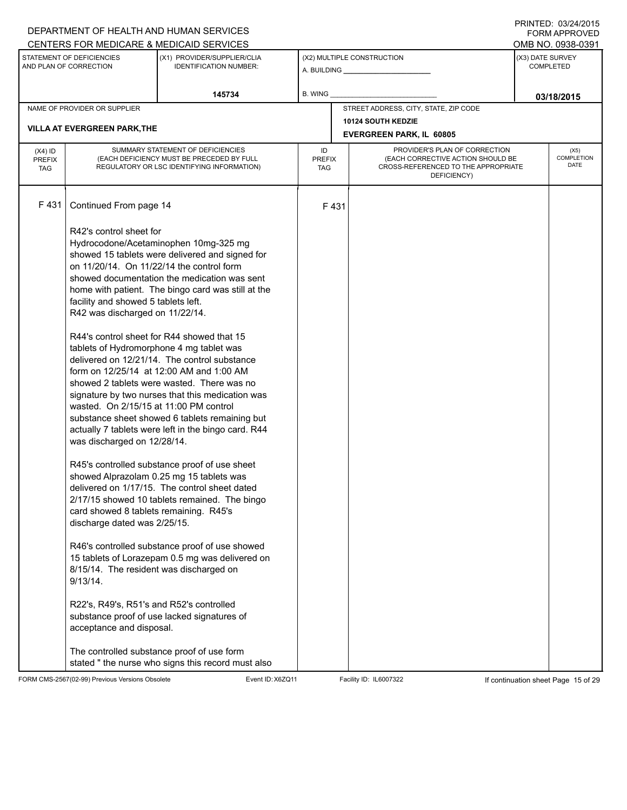# A. BUILDING **\_\_\_\_\_\_\_\_\_\_\_\_\_\_\_\_\_\_\_\_\_\_** (X1) PROVIDER/SUPPLIER/CLIA IDENTIFICATION NUMBER: STATEMENT OF DEFICIENCIES AND PLAN OF CORRECTION (X3) DATE SURVEY COMPLETED FORM APPROVED (X2) MULTIPLE CONSTRUCTION **B. WING** CENTERS FOR MEDICARE & MEDICAID SERVICES **And CENTERS FOR MEDICAL ACCESS** OMB NO. 0938-0391 **145734 B. WING D. CONSUMING D. CONSUMING D. CONSUMING D. CONSUMING D. CONSUMING D. CONSUMING D. CONSUMING D. CONSUMING D. CONSUMING D. CONSUMING D. CONSUMING D. CONSUMING D. CONSUMING D. CONS** NAME OF PROVIDER OR SUPPLIER STREET ADDRESS, CITY, STATE, ZIP CODE **10124 SOUTH KEDZIE VILLA AT EVERGREEN PARK,THE EVERGREEN PARK, IL 60805** PROVIDER'S PLAN OF CORRECTION (EACH CORRECTIVE ACTION SHOULD BE CROSS-REFERENCED TO THE APPROPRIATE DEFICIENCY) (X5) **COMPLETION** DATE ID PREFIX TAG (X4) ID PREFIX TAG SUMMARY STATEMENT OF DEFICIENCIES (EACH DEFICIENCY MUST BE PRECEDED BY FULL REGULATORY OR LSC IDENTIFYING INFORMATION) F 431 Continued From page 14 F 431 R42's control sheet for Hydrocodone/Acetaminophen 10mg-325 mg showed 15 tablets were delivered and signed for on 11/20/14. On 11/22/14 the control form showed documentation the medication was sent home with patient. The bingo card was still at the facility and showed 5 tablets left. R42 was discharged on 11/22/14. R44's control sheet for R44 showed that 15 tablets of Hydromorphone 4 mg tablet was delivered on 12/21/14. The control substance form on 12/25/14 at 12:00 AM and 1:00 AM showed 2 tablets were wasted. There was no signature by two nurses that this medication was wasted. On 2/15/15 at 11:00 PM control substance sheet showed 6 tablets remaining but actually 7 tablets were left in the bingo card. R44 was discharged on 12/28/14. R45's controlled substance proof of use sheet showed Alprazolam 0.25 mg 15 tablets was delivered on 1/17/15. The control sheet dated 2/17/15 showed 10 tablets remained. The bingo card showed 8 tablets remaining. R45's discharge dated was 2/25/15. R46's controlled substance proof of use showed 15 tablets of Lorazepam 0.5 mg was delivered on 8/15/14. The resident was discharged on 9/13/14. R22's, R49's, R51's and R52's controlled substance proof of use lacked signatures of acceptance and disposal. The controlled substance proof of use form stated " the nurse who signs this record must also

FORM CMS-2567(02-99) Previous Versions Obsolete Event ID:X6ZQ11 Facility ID: IL6007322 If continuation sheet Page 15 of 29

DEPARTMENT OF HEALTH AND HUMAN SERVICES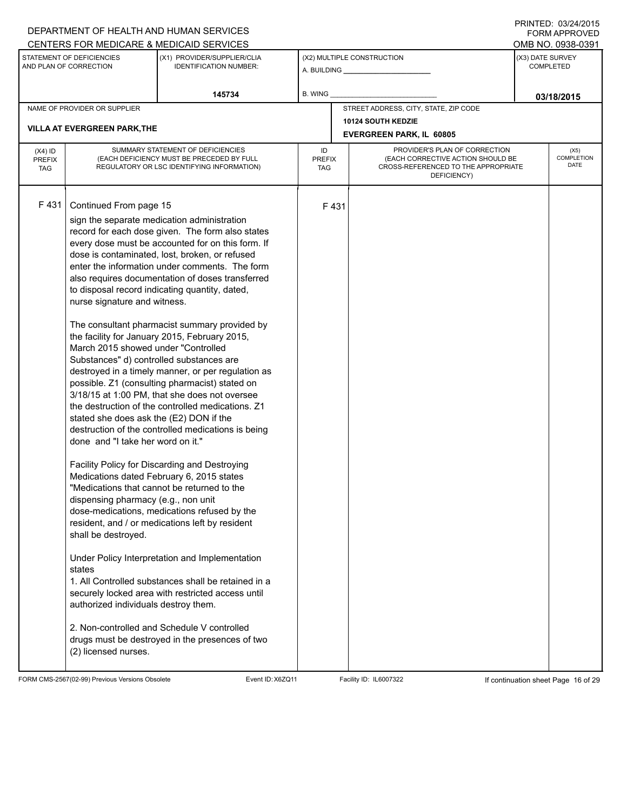|                                          |                                                                                                                                                                                                                                                                                                                                                                   | DEPARTMENT OF HEALTH AND HUMAN SERVICES<br>CENTERS FOR MEDICARE & MEDICAID SERVICES                                                                                                                                                                                                                                                                                                                                                                                                                                                                                                                                                                                                                                                                                                                                                                                                                                                                                                                                                                                                                                                                                                                                                                  |                            |      |                                                                                                                          |                  | $1 \times 1 \times 1 = 1$ . $0 \times 1 = 1$<br><b>FORM APPROVED</b><br>OMB NO. 0938-0391 |
|------------------------------------------|-------------------------------------------------------------------------------------------------------------------------------------------------------------------------------------------------------------------------------------------------------------------------------------------------------------------------------------------------------------------|------------------------------------------------------------------------------------------------------------------------------------------------------------------------------------------------------------------------------------------------------------------------------------------------------------------------------------------------------------------------------------------------------------------------------------------------------------------------------------------------------------------------------------------------------------------------------------------------------------------------------------------------------------------------------------------------------------------------------------------------------------------------------------------------------------------------------------------------------------------------------------------------------------------------------------------------------------------------------------------------------------------------------------------------------------------------------------------------------------------------------------------------------------------------------------------------------------------------------------------------------|----------------------------|------|--------------------------------------------------------------------------------------------------------------------------|------------------|-------------------------------------------------------------------------------------------|
|                                          | STATEMENT OF DEFICIENCIES<br>AND PLAN OF CORRECTION                                                                                                                                                                                                                                                                                                               | (X1) PROVIDER/SUPPLIER/CLIA<br><b>IDENTIFICATION NUMBER:</b>                                                                                                                                                                                                                                                                                                                                                                                                                                                                                                                                                                                                                                                                                                                                                                                                                                                                                                                                                                                                                                                                                                                                                                                         |                            |      | (X2) MULTIPLE CONSTRUCTION                                                                                               | (X3) DATE SURVEY | COMPLETED                                                                                 |
|                                          |                                                                                                                                                                                                                                                                                                                                                                   | 145734                                                                                                                                                                                                                                                                                                                                                                                                                                                                                                                                                                                                                                                                                                                                                                                                                                                                                                                                                                                                                                                                                                                                                                                                                                               | B. WING                    |      |                                                                                                                          |                  | 03/18/2015                                                                                |
|                                          | NAME OF PROVIDER OR SUPPLIER                                                                                                                                                                                                                                                                                                                                      |                                                                                                                                                                                                                                                                                                                                                                                                                                                                                                                                                                                                                                                                                                                                                                                                                                                                                                                                                                                                                                                                                                                                                                                                                                                      |                            |      | STREET ADDRESS, CITY, STATE, ZIP CODE                                                                                    |                  |                                                                                           |
|                                          | <b>VILLA AT EVERGREEN PARK, THE</b>                                                                                                                                                                                                                                                                                                                               |                                                                                                                                                                                                                                                                                                                                                                                                                                                                                                                                                                                                                                                                                                                                                                                                                                                                                                                                                                                                                                                                                                                                                                                                                                                      |                            |      | <b>10124 SOUTH KEDZIE</b><br><b>EVERGREEN PARK, IL 60805</b>                                                             |                  |                                                                                           |
| $(X4)$ ID<br><b>PREFIX</b><br><b>TAG</b> |                                                                                                                                                                                                                                                                                                                                                                   | SUMMARY STATEMENT OF DEFICIENCIES<br>(EACH DEFICIENCY MUST BE PRECEDED BY FULL<br>REGULATORY OR LSC IDENTIFYING INFORMATION)                                                                                                                                                                                                                                                                                                                                                                                                                                                                                                                                                                                                                                                                                                                                                                                                                                                                                                                                                                                                                                                                                                                         | ID<br><b>PREFIX</b><br>TAG |      | PROVIDER'S PLAN OF CORRECTION<br>(EACH CORRECTIVE ACTION SHOULD BE<br>CROSS-REFERENCED TO THE APPROPRIATE<br>DEFICIENCY) |                  | (X5)<br>COMPLETION<br>DATE                                                                |
| F431                                     | Continued From page 15<br>nurse signature and witness.<br>March 2015 showed under "Controlled<br>Substances" d) controlled substances are<br>stated she does ask the (E2) DON if the<br>done and "I take her word on it."<br>dispensing pharmacy (e.g., non unit<br>shall be destroyed.<br>states<br>authorized individuals destroy them.<br>(2) licensed nurses. | sign the separate medication administration<br>record for each dose given. The form also states<br>every dose must be accounted for on this form. If<br>dose is contaminated, lost, broken, or refused<br>enter the information under comments. The form<br>also requires documentation of doses transferred<br>to disposal record indicating quantity, dated,<br>The consultant pharmacist summary provided by<br>the facility for January 2015, February 2015,<br>destroyed in a timely manner, or per regulation as<br>possible. Z1 (consulting pharmacist) stated on<br>3/18/15 at 1:00 PM, that she does not oversee<br>the destruction of the controlled medications. Z1<br>destruction of the controlled medications is being<br>Facility Policy for Discarding and Destroying<br>Medications dated February 6, 2015 states<br>"Medications that cannot be returned to the<br>dose-medications, medications refused by the<br>resident, and / or medications left by resident<br>Under Policy Interpretation and Implementation<br>1. All Controlled substances shall be retained in a<br>securely locked area with restricted access until<br>2. Non-controlled and Schedule V controlled<br>drugs must be destroyed in the presences of two |                            | F431 |                                                                                                                          |                  |                                                                                           |

FORM CMS-2567(02-99) Previous Versions Obsolete Event ID:X6ZQ11 Facility ID: IL6007322 If continuation sheet Page 16 of 29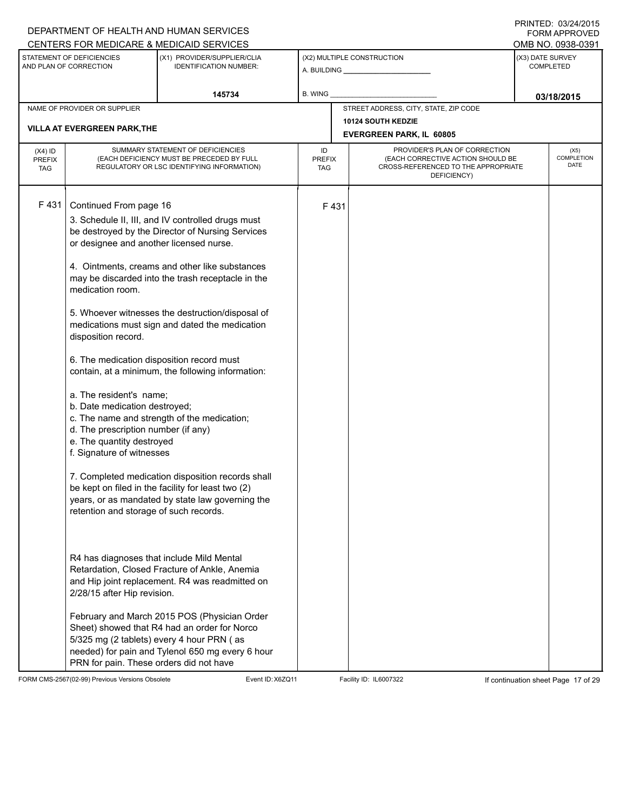| DEPARTMENT OF HEALTH AND HUMAN SERVICES                                                                                                                                                                                                                                                                                                                                                                                                                                                                                                                                                                                                                                                                                                                                                                                                                                                                                                                                                                                                                                                                                                                                                                                                     |                                                                                                                                                                        |                                              |                                                                                                                                             | <b>FORM APPROVED</b>                                                                         |
|---------------------------------------------------------------------------------------------------------------------------------------------------------------------------------------------------------------------------------------------------------------------------------------------------------------------------------------------------------------------------------------------------------------------------------------------------------------------------------------------------------------------------------------------------------------------------------------------------------------------------------------------------------------------------------------------------------------------------------------------------------------------------------------------------------------------------------------------------------------------------------------------------------------------------------------------------------------------------------------------------------------------------------------------------------------------------------------------------------------------------------------------------------------------------------------------------------------------------------------------|------------------------------------------------------------------------------------------------------------------------------------------------------------------------|----------------------------------------------|---------------------------------------------------------------------------------------------------------------------------------------------|----------------------------------------------------------------------------------------------|
|                                                                                                                                                                                                                                                                                                                                                                                                                                                                                                                                                                                                                                                                                                                                                                                                                                                                                                                                                                                                                                                                                                                                                                                                                                             |                                                                                                                                                                        |                                              |                                                                                                                                             | OMB NO. 0938-0391                                                                            |
| <b>IDENTIFICATION NUMBER:</b>                                                                                                                                                                                                                                                                                                                                                                                                                                                                                                                                                                                                                                                                                                                                                                                                                                                                                                                                                                                                                                                                                                                                                                                                               |                                                                                                                                                                        |                                              |                                                                                                                                             | <b>COMPLETED</b>                                                                             |
| 145734                                                                                                                                                                                                                                                                                                                                                                                                                                                                                                                                                                                                                                                                                                                                                                                                                                                                                                                                                                                                                                                                                                                                                                                                                                      | B. WING                                                                                                                                                                |                                              |                                                                                                                                             | 03/18/2015                                                                                   |
|                                                                                                                                                                                                                                                                                                                                                                                                                                                                                                                                                                                                                                                                                                                                                                                                                                                                                                                                                                                                                                                                                                                                                                                                                                             |                                                                                                                                                                        |                                              |                                                                                                                                             |                                                                                              |
|                                                                                                                                                                                                                                                                                                                                                                                                                                                                                                                                                                                                                                                                                                                                                                                                                                                                                                                                                                                                                                                                                                                                                                                                                                             |                                                                                                                                                                        |                                              |                                                                                                                                             |                                                                                              |
|                                                                                                                                                                                                                                                                                                                                                                                                                                                                                                                                                                                                                                                                                                                                                                                                                                                                                                                                                                                                                                                                                                                                                                                                                                             |                                                                                                                                                                        |                                              |                                                                                                                                             |                                                                                              |
| SUMMARY STATEMENT OF DEFICIENCIES<br>(EACH DEFICIENCY MUST BE PRECEDED BY FULL<br>REGULATORY OR LSC IDENTIFYING INFORMATION)                                                                                                                                                                                                                                                                                                                                                                                                                                                                                                                                                                                                                                                                                                                                                                                                                                                                                                                                                                                                                                                                                                                | ID                                                                                                                                                                     | PROVIDER'S PLAN OF CORRECTION<br>DEFICIENCY) |                                                                                                                                             | (X5)<br>COMPLETION<br>DATE                                                                   |
| Continued From page 16<br>3. Schedule II, III, and IV controlled drugs must<br>be destroyed by the Director of Nursing Services<br>or designee and another licensed nurse.<br>4. Ointments, creams and other like substances<br>may be discarded into the trash receptacle in the<br>5. Whoever witnesses the destruction/disposal of<br>medications must sign and dated the medication<br>6. The medication disposition record must<br>contain, at a minimum, the following information:<br>a. The resident's name;<br>b. Date medication destroyed;<br>c. The name and strength of the medication;<br>d. The prescription number (if any)<br>e. The quantity destroyed<br>f. Signature of witnesses<br>7. Completed medication disposition records shall<br>be kept on filed in the facility for least two (2)<br>years, or as mandated by state law governing the<br>retention and storage of such records.<br>R4 has diagnoses that include Mild Mental<br>Retardation, Closed Fracture of Ankle, Anemia<br>and Hip joint replacement. R4 was readmitted on<br>2/28/15 after Hip revision.<br>February and March 2015 POS (Physician Order<br>Sheet) showed that R4 had an order for Norco<br>5/325 mg (2 tablets) every 4 hour PRN (as |                                                                                                                                                                        |                                              |                                                                                                                                             |                                                                                              |
|                                                                                                                                                                                                                                                                                                                                                                                                                                                                                                                                                                                                                                                                                                                                                                                                                                                                                                                                                                                                                                                                                                                                                                                                                                             | CENTERS FOR MEDICARE & MEDICAID SERVICES<br>(X1) PROVIDER/SUPPLIER/CLIA<br>needed) for pain and Tylenol 650 mg every 6 hour<br>PRN for pain. These orders did not have | <b>PREFIX</b><br>TAG                         | (X2) MULTIPLE CONSTRUCTION<br>STREET ADDRESS, CITY, STATE, ZIP CODE<br><b>10124 SOUTH KEDZIE</b><br><b>EVERGREEN PARK, IL 60805</b><br>F431 | (X3) DATE SURVEY<br>(EACH CORRECTIVE ACTION SHOULD BE<br>CROSS-REFERENCED TO THE APPROPRIATE |

FORM CMS-2567(02-99) Previous Versions Obsolete Event ID:X6ZQ11 Facility ID: IL6007322 If continuation sheet Page 17 of 29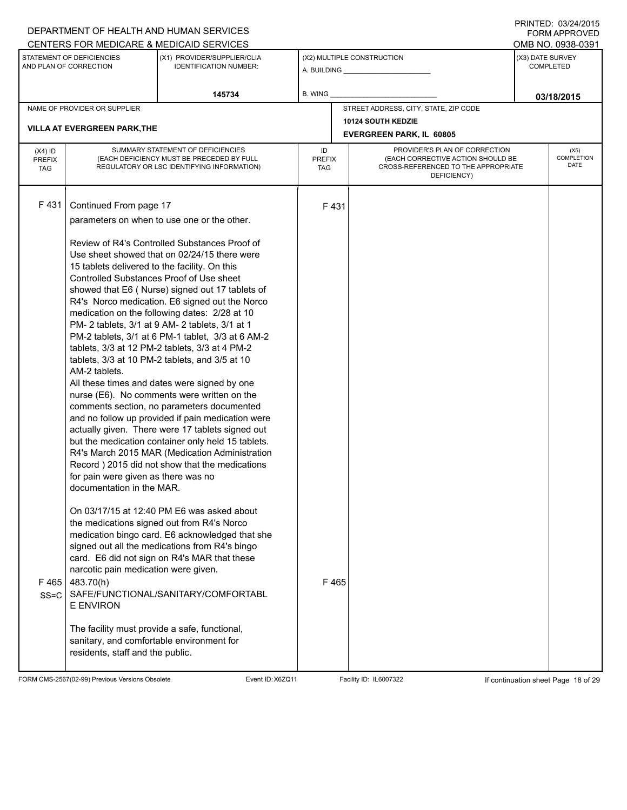|                                          |                                                                                                                                                                                                                                                                                                                         | DEPARTMENT OF HEALTH AND HUMAN SERVICES<br>CENTERS FOR MEDICARE & MEDICAID SERVICES                                                                                                                                                                                                                                                                                                                                                                                                                                                                                                                                                                                                                                                                                                                                                                                                                                                                                                                                                                                                                                                                                                                                                                                    |                                   |              |                                                                                                                          |                  | FORM APPROVED<br>OMB NO. 0938-0391 |
|------------------------------------------|-------------------------------------------------------------------------------------------------------------------------------------------------------------------------------------------------------------------------------------------------------------------------------------------------------------------------|------------------------------------------------------------------------------------------------------------------------------------------------------------------------------------------------------------------------------------------------------------------------------------------------------------------------------------------------------------------------------------------------------------------------------------------------------------------------------------------------------------------------------------------------------------------------------------------------------------------------------------------------------------------------------------------------------------------------------------------------------------------------------------------------------------------------------------------------------------------------------------------------------------------------------------------------------------------------------------------------------------------------------------------------------------------------------------------------------------------------------------------------------------------------------------------------------------------------------------------------------------------------|-----------------------------------|--------------|--------------------------------------------------------------------------------------------------------------------------|------------------|------------------------------------|
|                                          | STATEMENT OF DEFICIENCIES<br>AND PLAN OF CORRECTION                                                                                                                                                                                                                                                                     | (X1) PROVIDER/SUPPLIER/CLIA<br><b>IDENTIFICATION NUMBER:</b>                                                                                                                                                                                                                                                                                                                                                                                                                                                                                                                                                                                                                                                                                                                                                                                                                                                                                                                                                                                                                                                                                                                                                                                                           |                                   |              | (X2) MULTIPLE CONSTRUCTION                                                                                               | (X3) DATE SURVEY | COMPLETED                          |
|                                          |                                                                                                                                                                                                                                                                                                                         | 145734                                                                                                                                                                                                                                                                                                                                                                                                                                                                                                                                                                                                                                                                                                                                                                                                                                                                                                                                                                                                                                                                                                                                                                                                                                                                 | <b>B. WING</b>                    |              |                                                                                                                          |                  | 03/18/2015                         |
|                                          | NAME OF PROVIDER OR SUPPLIER<br><b>VILLA AT EVERGREEN PARK, THE</b>                                                                                                                                                                                                                                                     |                                                                                                                                                                                                                                                                                                                                                                                                                                                                                                                                                                                                                                                                                                                                                                                                                                                                                                                                                                                                                                                                                                                                                                                                                                                                        |                                   |              | STREET ADDRESS, CITY, STATE, ZIP CODE<br>10124 SOUTH KEDZIE                                                              |                  |                                    |
|                                          |                                                                                                                                                                                                                                                                                                                         |                                                                                                                                                                                                                                                                                                                                                                                                                                                                                                                                                                                                                                                                                                                                                                                                                                                                                                                                                                                                                                                                                                                                                                                                                                                                        |                                   |              | <b>EVERGREEN PARK, IL 60805</b>                                                                                          |                  |                                    |
| $(X4)$ ID<br><b>PREFIX</b><br><b>TAG</b> |                                                                                                                                                                                                                                                                                                                         | SUMMARY STATEMENT OF DEFICIENCIES<br>(EACH DEFICIENCY MUST BE PRECEDED BY FULL<br>REGULATORY OR LSC IDENTIFYING INFORMATION)                                                                                                                                                                                                                                                                                                                                                                                                                                                                                                                                                                                                                                                                                                                                                                                                                                                                                                                                                                                                                                                                                                                                           | ID<br><b>PREFIX</b><br><b>TAG</b> |              | PROVIDER'S PLAN OF CORRECTION<br>(EACH CORRECTIVE ACTION SHOULD BE<br>CROSS-REFERENCED TO THE APPROPRIATE<br>DEFICIENCY) |                  | (X5)<br>COMPLETION<br><b>DATE</b>  |
| F431<br>F465<br>$SS = C$                 | Continued From page 17<br>15 tablets delivered to the facility. On this<br>Controlled Substances Proof of Use sheet<br>AM-2 tablets.<br>for pain were given as there was no<br>documentation in the MAR.<br>narcotic pain medication were given.<br>483.70(h)<br>E ENVIRON<br>sanitary, and comfortable environment for | parameters on when to use one or the other.<br>Review of R4's Controlled Substances Proof of<br>Use sheet showed that on 02/24/15 there were<br>showed that E6 (Nurse) signed out 17 tablets of<br>R4's Norco medication. E6 signed out the Norco<br>medication on the following dates: 2/28 at 10<br>PM-2 tablets, 3/1 at 9 AM-2 tablets, 3/1 at 1<br>PM-2 tablets, 3/1 at 6 PM-1 tablet, 3/3 at 6 AM-2<br>tablets, 3/3 at 12 PM-2 tablets, 3/3 at 4 PM-2<br>tablets, 3/3 at 10 PM-2 tablets, and 3/5 at 10<br>All these times and dates were signed by one<br>nurse (E6). No comments were written on the<br>comments section, no parameters documented<br>and no follow up provided if pain medication were<br>actually given. There were 17 tablets signed out<br>but the medication container only held 15 tablets.<br>R4's March 2015 MAR (Medication Administration<br>Record ) 2015 did not show that the medications<br>On 03/17/15 at 12:40 PM E6 was asked about<br>the medications signed out from R4's Norco<br>medication bingo card. E6 acknowledged that she<br>signed out all the medications from R4's bingo<br>card. E6 did not sign on R4's MAR that these<br>SAFE/FUNCTIONAL/SANITARY/COMFORTABL<br>The facility must provide a safe, functional, |                                   | F431<br>F465 |                                                                                                                          |                  |                                    |
|                                          | residents, staff and the public.                                                                                                                                                                                                                                                                                        |                                                                                                                                                                                                                                                                                                                                                                                                                                                                                                                                                                                                                                                                                                                                                                                                                                                                                                                                                                                                                                                                                                                                                                                                                                                                        |                                   |              |                                                                                                                          |                  |                                    |

FORM CMS-2567(02-99) Previous Versions Obsolete Event ID:X6ZQ11 Facility ID: IL6007322 If continuation sheet Page 18 of 29

DEPARTMENT OF HEALTH AND HUMAN SERVICES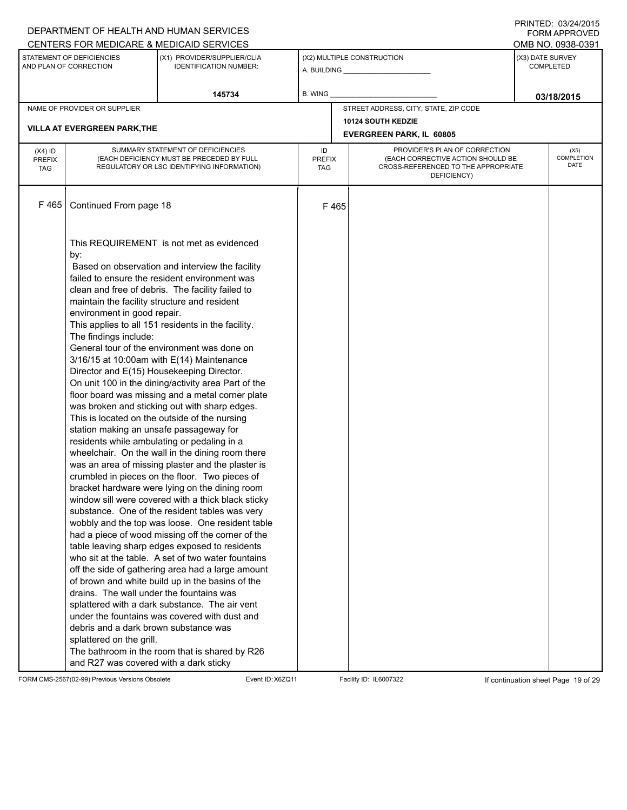|               |                                                     | DEPARTMENT OF HEALTH AND HUMAN SERVICES                      |               |                                                                          |                  | <b>FORM APPROVED</b>      |
|---------------|-----------------------------------------------------|--------------------------------------------------------------|---------------|--------------------------------------------------------------------------|------------------|---------------------------|
|               |                                                     | CENTERS FOR MEDICARE & MEDICAID SERVICES                     |               |                                                                          |                  | OMB NO. 0938-0391         |
|               | STATEMENT OF DEFICIENCIES<br>AND PLAN OF CORRECTION | (X1) PROVIDER/SUPPLIER/CLIA<br><b>IDENTIFICATION NUMBER:</b> |               | (X2) MULTIPLE CONSTRUCTION                                               | (X3) DATE SURVEY | <b>COMPLETED</b>          |
|               |                                                     | 145734                                                       | B. WING       |                                                                          |                  | 03/18/2015                |
|               | NAME OF PROVIDER OR SUPPLIER                        |                                                              |               | STREET ADDRESS, CITY, STATE, ZIP CODE                                    |                  |                           |
|               |                                                     |                                                              |               | 10124 SOUTH KEDZIE                                                       |                  |                           |
|               | <b>VILLA AT EVERGREEN PARK, THE</b>                 |                                                              |               | <b>EVERGREEN PARK, IL 60805</b>                                          |                  |                           |
| $(X4)$ ID     |                                                     | SUMMARY STATEMENT OF DEFICIENCIES                            | ID            | PROVIDER'S PLAN OF CORRECTION                                            |                  | (X5)                      |
| <b>PREFIX</b> |                                                     | (EACH DEFICIENCY MUST BE PRECEDED BY FULL                    | <b>PREFIX</b> | (EACH CORRECTIVE ACTION SHOULD BE<br>CROSS-REFERENCED TO THE APPROPRIATE |                  | <b>COMPLETION</b><br>DATE |
| <b>TAG</b>    |                                                     | REGULATORY OR LSC IDENTIFYING INFORMATION)                   | TAG           | DEFICIENCY)                                                              |                  |                           |
|               |                                                     |                                                              |               |                                                                          |                  |                           |
| F 465         | Continued From page 18                              |                                                              | F465          |                                                                          |                  |                           |
|               |                                                     | This REQUIREMENT is not met as evidenced                     |               |                                                                          |                  |                           |
|               | by:                                                 |                                                              |               |                                                                          |                  |                           |
|               |                                                     | Based on observation and interview the facility              |               |                                                                          |                  |                           |
|               |                                                     | failed to ensure the resident environment was                |               |                                                                          |                  |                           |
|               |                                                     | clean and free of debris. The facility failed to             |               |                                                                          |                  |                           |
|               | maintain the facility structure and resident        |                                                              |               |                                                                          |                  |                           |
|               | environment in good repair.                         |                                                              |               |                                                                          |                  |                           |
|               |                                                     | This applies to all 151 residents in the facility.           |               |                                                                          |                  |                           |
|               | The findings include:                               |                                                              |               |                                                                          |                  |                           |
|               |                                                     | General tour of the environment was done on                  |               |                                                                          |                  |                           |
|               |                                                     | $3/16/15$ at 10:00am with $E(14)$ Maintenance                |               |                                                                          |                  |                           |
|               | Director and E(15) Housekeeping Director.           |                                                              |               |                                                                          |                  |                           |
|               |                                                     | On unit 100 in the dining/activity area Part of the          |               |                                                                          |                  |                           |
|               |                                                     | floor board was missing and a metal corner plate             |               |                                                                          |                  |                           |
|               |                                                     | was broken and sticking out with sharp edges.                |               |                                                                          |                  |                           |
|               |                                                     | This is located on the outside of the nursing                |               |                                                                          |                  |                           |
|               | station making an unsafe passageway for             |                                                              |               |                                                                          |                  |                           |
|               | residents while ambulating or pedaling in a         |                                                              |               |                                                                          |                  |                           |
|               |                                                     | wheelchair. On the wall in the dining room there             |               |                                                                          |                  |                           |
|               |                                                     | was an area of missing plaster and the plaster is            |               |                                                                          |                  |                           |
|               |                                                     | crumbled in pieces on the floor. Two pieces of               |               |                                                                          |                  |                           |
|               |                                                     | bracket hardware were lying on the dining room               |               |                                                                          |                  |                           |
|               |                                                     | window sill were covered with a thick black sticky           |               |                                                                          |                  |                           |
|               |                                                     | substance. One of the resident tables was very               |               |                                                                          |                  |                           |
|               |                                                     | wobbly and the top was loose. One resident table             |               |                                                                          |                  |                           |
|               |                                                     | had a piece of wood missing off the corner of the            |               |                                                                          |                  |                           |
|               |                                                     | table leaving sharp edges exposed to residents               |               |                                                                          |                  |                           |
|               |                                                     | who sit at the table. A set of two water fountains           |               |                                                                          |                  |                           |
|               |                                                     | off the side of gathering area had a large amount            |               |                                                                          |                  |                           |
|               |                                                     | of brown and white build up in the basins of the             |               |                                                                          |                  |                           |
|               | drains. The wall under the fountains was            |                                                              |               |                                                                          |                  |                           |
|               |                                                     | splattered with a dark substance. The air vent               |               |                                                                          |                  |                           |
|               |                                                     | under the fountains was covered with dust and                |               |                                                                          |                  |                           |
|               | debris and a dark brown substance was               |                                                              |               |                                                                          |                  |                           |
|               | splattered on the grill.                            |                                                              |               |                                                                          |                  |                           |
|               |                                                     | The bathroom in the room that is shared by R26               |               |                                                                          |                  |                           |
|               | and R27 was covered with a dark sticky              |                                                              |               |                                                                          |                  |                           |

FORM CMS-2567(02-99) Previous Versions Obsolete Event ID:X6ZQ11 Facility ID: IL6007322 If continuation sheet Page 19 of 29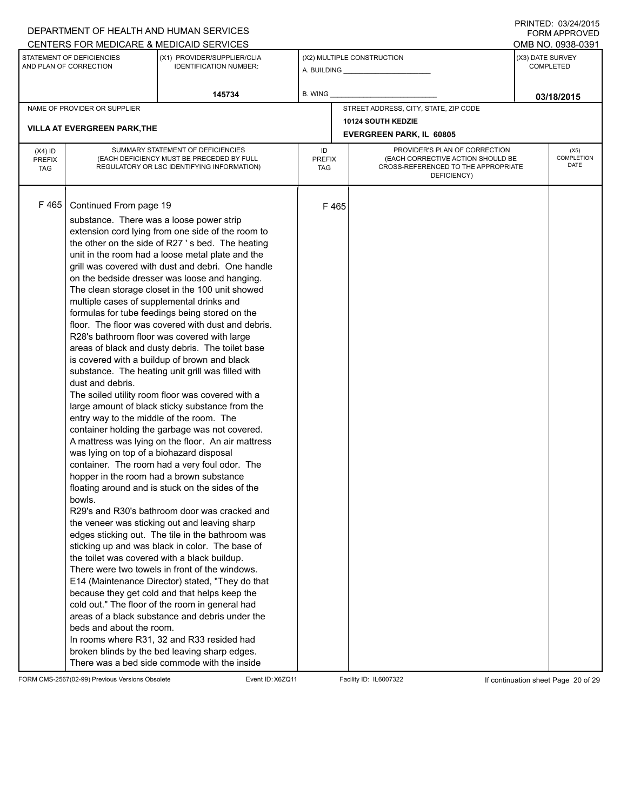#### A. BUILDING **\_\_\_\_\_\_\_\_\_\_\_\_\_\_\_\_\_\_\_\_\_\_** (X1) PROVIDER/SUPPLIER/CLIA IDENTIFICATION NUMBER: STATEMENT OF DEFICIENCIES AND PLAN OF CORRECTION (X3) DATE SURVEY COMPLETED FORM APPROVED (X2) MULTIPLE CONSTRUCTION **B. WING** CENTERS FOR MEDICARE & MEDICAID SERVICES **And CENTERS FOR MEDICAL ACCESS** OMB NO. 0938-0391 **145734 03/18/2015** NAME OF PROVIDER OR SUPPLIER STREET ADDRESS, CITY, STATE, ZIP CODE **10124 SOUTH KEDZIE VILLA AT EVERGREEN PARK,THE EVERGREEN PARK, IL 60805** PROVIDER'S PLAN OF CORRECTION (EACH CORRECTIVE ACTION SHOULD BE CROSS-REFERENCED TO THE APPROPRIATE DEFICIENCY) (X5) **COMPLETION** DATE ID PREFIX TAG (X4) ID PREFIX TAG SUMMARY STATEMENT OF DEFICIENCIES (EACH DEFICIENCY MUST BE PRECEDED BY FULL REGULATORY OR LSC IDENTIFYING INFORMATION) F 465 Continued From page 19 F 465 substance. There was a loose power strip extension cord lying from one side of the room to the other on the side of R27 ' s bed. The heating unit in the room had a loose metal plate and the grill was covered with dust and debri. One handle on the bedside dresser was loose and hanging. The clean storage closet in the 100 unit showed multiple cases of supplemental drinks and formulas for tube feedings being stored on the floor. The floor was covered with dust and debris. R28's bathroom floor was covered with large areas of black and dusty debris. The toilet base is covered with a buildup of brown and black substance. The heating unit grill was filled with dust and debris. The soiled utility room floor was covered with a large amount of black sticky substance from the entry way to the middle of the room. The container holding the garbage was not covered. A mattress was lying on the floor. An air mattress was lying on top of a biohazard disposal container. The room had a very foul odor. The hopper in the room had a brown substance floating around and is stuck on the sides of the bowls. R29's and R30's bathroom door was cracked and the veneer was sticking out and leaving sharp edges sticking out. The tile in the bathroom was sticking up and was black in color. The base of the toilet was covered with a black buildup. There were two towels in front of the windows. E14 (Maintenance Director) stated, "They do that because they get cold and that helps keep the cold out." The floor of the room in general had areas of a black substance and debris under the beds and about the room. In rooms where R31, 32 and R33 resided had broken blinds by the bed leaving sharp edges. There was a bed side commode with the inside

FORM CMS-2567(02-99) Previous Versions Obsolete Event ID:X6ZQ11 Facility ID: IL6007322 If continuation sheet Page 20 of 29

DEPARTMENT OF HEALTH AND HUMAN SERVICES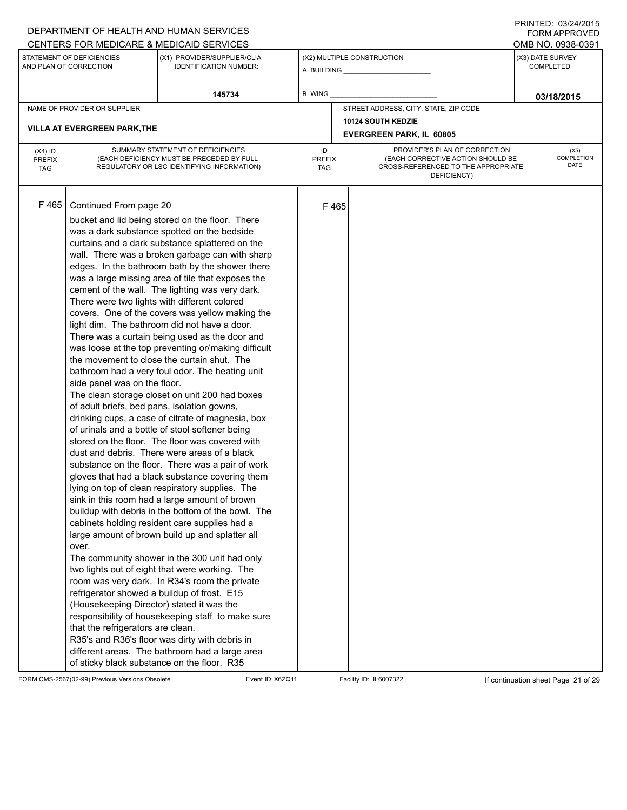#### A. BUILDING **\_\_\_\_\_\_\_\_\_\_\_\_\_\_\_\_\_\_\_\_\_\_** (X1) PROVIDER/SUPPLIER/CLIA IDENTIFICATION NUMBER: STATEMENT OF DEFICIENCIES AND PLAN OF CORRECTION (X3) DATE SURVEY COMPLETED FORM APPROVED (X2) MULTIPLE CONSTRUCTION **B. WING** DEPARTMENT OF HEALTH AND HUMAN SERVICES CENTERS FOR MEDICARE & MEDICAID SERVICES **And CENTERS FOR MEDICAL ACCESS** OMB NO. 0938-0391 **145734 03/18/2015** NAME OF PROVIDER OR SUPPLIER STREET ADDRESS, CITY, STATE, ZIP CODE **10124 SOUTH KEDZIE VILLA AT EVERGREEN PARK,THE EVERGREEN PARK, IL 60805** PROVIDER'S PLAN OF CORRECTION (EACH CORRECTIVE ACTION SHOULD BE CROSS-REFERENCED TO THE APPROPRIATE DEFICIENCY) (X5) **COMPLETION** DATE ID PREFIX TAG (X4) ID PREFIX TAG SUMMARY STATEMENT OF DEFICIENCIES (EACH DEFICIENCY MUST BE PRECEDED BY FULL REGULATORY OR LSC IDENTIFYING INFORMATION) F 465 Continued From page 20 F 465 bucket and lid being stored on the floor. There was a dark substance spotted on the bedside curtains and a dark substance splattered on the wall. There was a broken garbage can with sharp edges. In the bathroom bath by the shower there was a large missing area of tile that exposes the cement of the wall. The lighting was very dark. There were two lights with different colored covers. One of the covers was yellow making the light dim. The bathroom did not have a door. There was a curtain being used as the door and was loose at the top preventing or/making difficult the movement to close the curtain shut. The bathroom had a very foul odor. The heating unit side panel was on the floor. The clean storage closet on unit 200 had boxes of adult briefs, bed pans, isolation gowns, drinking cups, a case of citrate of magnesia, box of urinals and a bottle of stool softener being stored on the floor. The floor was covered with dust and debris. There were areas of a black substance on the floor. There was a pair of work gloves that had a black substance covering them lying on top of clean respiratory supplies. The sink in this room had a large amount of brown buildup with debris in the bottom of the bowl. The cabinets holding resident care supplies had a large amount of brown build up and splatter all over. The community shower in the 300 unit had only two lights out of eight that were working. The room was very dark. In R34's room the private refrigerator showed a buildup of frost. E15 (Housekeeping Director) stated it was the responsibility of housekeeping staff to make sure that the refrigerators are clean. R35's and R36's floor was dirty with debris in different areas. The bathroom had a large area of sticky black substance on the floor. R35

FORM CMS-2567(02-99) Previous Versions Obsolete Event ID:X6ZQ11 Facility ID: IL6007322 If continuation sheet Page 21 of 29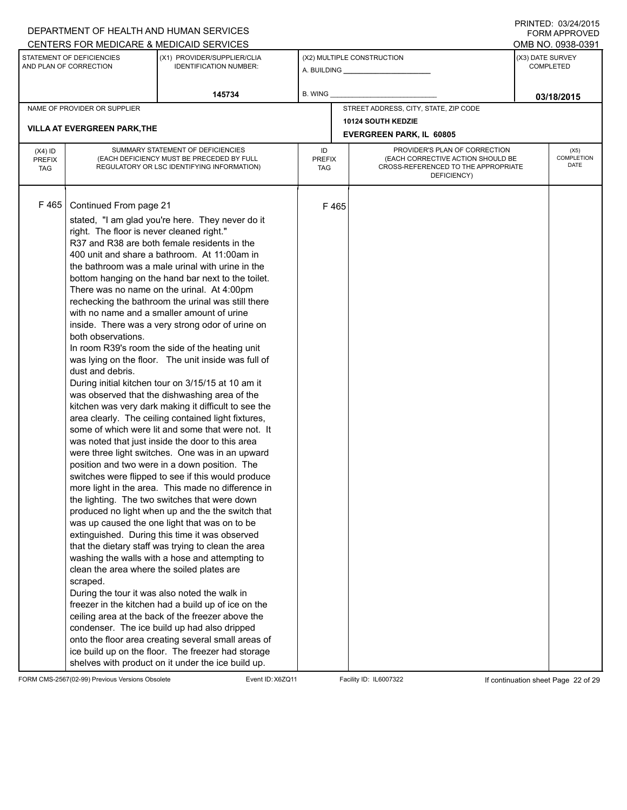#### A. BUILDING **\_\_\_\_\_\_\_\_\_\_\_\_\_\_\_\_\_\_\_\_\_\_** (X1) PROVIDER/SUPPLIER/CLIA IDENTIFICATION NUMBER: STATEMENT OF DEFICIENCIES AND PLAN OF CORRECTION (X3) DATE SURVEY COMPLETED FORM APPROVED (X2) MULTIPLE CONSTRUCTION **B. WING** DEPARTMENT OF HEALTH AND HUMAN SERVICES CENTERS FOR MEDICARE & MEDICAID SERVICES **And CENTERS FOR MEDICAL ACCESS** OMB NO. 0938-0391 **145734 B. WING D. CONSUMING D. CONSUMING D. CONSUMING D. CONSUMING D. CONSUMING D. CONSUMING D. CONSUMING D. CONSUMING D. CONSUMING D. CONSUMING D. CONSUMING D. CONSUMING D. CONSUMING D. CONS** NAME OF PROVIDER OR SUPPLIER STREET ADDRESS, CITY, STATE, ZIP CODE **10124 SOUTH KEDZIE VILLA AT EVERGREEN PARK,THE EVERGREEN PARK, IL 60805** PROVIDER'S PLAN OF CORRECTION (EACH CORRECTIVE ACTION SHOULD BE CROSS-REFERENCED TO THE APPROPRIATE DEFICIENCY) (X5) **COMPLETION** DATE ID PREFIX TAG (X4) ID PREFIX TAG SUMMARY STATEMENT OF DEFICIENCIES (EACH DEFICIENCY MUST BE PRECEDED BY FULL REGULATORY OR LSC IDENTIFYING INFORMATION)  $F$  465 Continued From page 21 F 465 stated, "I am glad you're here. They never do it right. The floor is never cleaned right." R37 and R38 are both female residents in the 400 unit and share a bathroom. At 11:00am in the bathroom was a male urinal with urine in the bottom hanging on the hand bar next to the toilet. There was no name on the urinal. At 4:00pm rechecking the bathroom the urinal was still there with no name and a smaller amount of urine inside. There was a very strong odor of urine on both observations. In room R39's room the side of the heating unit was lying on the floor. The unit inside was full of dust and debris. During initial kitchen tour on 3/15/15 at 10 am it was observed that the dishwashing area of the kitchen was very dark making it difficult to see the area clearly. The ceiling contained light fixtures, some of which were lit and some that were not. It was noted that just inside the door to this area were three light switches. One was in an upward position and two were in a down position. The switches were flipped to see if this would produce more light in the area. This made no difference in the lighting. The two switches that were down produced no light when up and the the switch that was up caused the one light that was on to be extinguished. During this time it was observed that the dietary staff was trying to clean the area washing the walls with a hose and attempting to clean the area where the soiled plates are scraped. During the tour it was also noted the walk in freezer in the kitchen had a build up of ice on the ceiling area at the back of the freezer above the condenser. The ice build up had also dripped onto the floor area creating several small areas of ice build up on the floor. The freezer had storage shelves with product on it under the ice build up.

FORM CMS-2567(02-99) Previous Versions Obsolete Event ID:X6ZQ11 Facility ID: IL6007322 If continuation sheet Page 22 of 29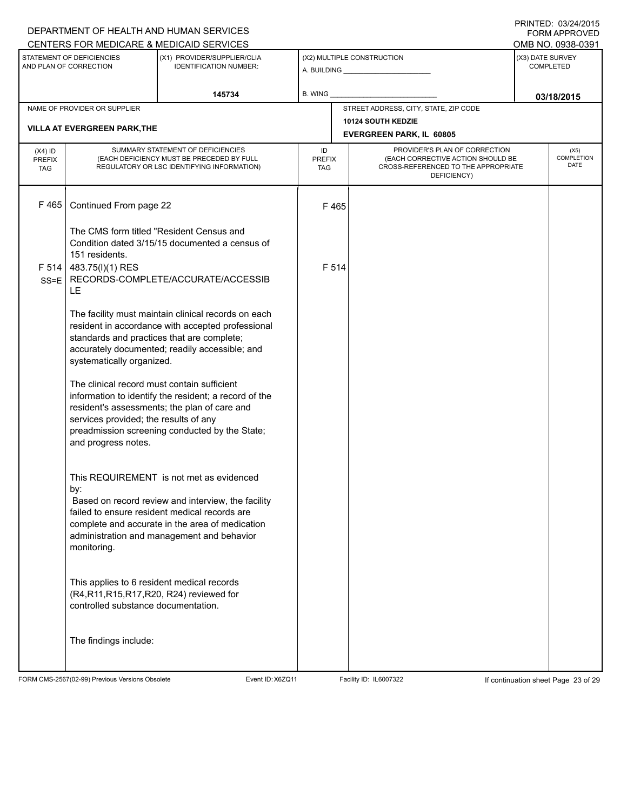# A. BUILDING **\_\_\_\_\_\_\_\_\_\_\_\_\_\_\_\_\_\_\_\_\_\_** (X1) PROVIDER/SUPPLIER/CLIA IDENTIFICATION NUMBER: STATEMENT OF DEFICIENCIES AND PLAN OF CORRECTION (X3) DATE SURVEY COMPLETED FORM APPROVED (X2) MULTIPLE CONSTRUCTION B. WING CENTERS FOR MEDICARE & MEDICAID SERVICES OMB NO. 0938-0391 **145734 B. WING D. CONSUMING D. CONSUMING D. CONSUMING D. CONSUMING D. CONSUMING D. CONSUMING D. CONSUMING D. CONSUMING D. CONSUMING D. CONSUMING D. CONSUMING D. CONSUMING D. CONSUMING D. CONS** NAME OF PROVIDER OR SUPPLIER STREET ADDRESS, CITY, STATE, ZIP CODE **10124 SOUTH KEDZIE VILLA AT EVERGREEN PARK,THE EVERGREEN PARK, IL 60805** PROVIDER'S PLAN OF CORRECTION (EACH CORRECTIVE ACTION SHOULD BE CROSS-REFERENCED TO THE APPROPRIATE DEFICIENCY) (X5) **COMPLETION** DATE ID PREFIX TAG (X4) ID PREFIX TAG SUMMARY STATEMENT OF DEFICIENCIES (EACH DEFICIENCY MUST BE PRECEDED BY FULL REGULATORY OR LSC IDENTIFYING INFORMATION)  $F$  465 Continued From page 22 F 465 The CMS form titled "Resident Census and Condition dated 3/15/15 documented a census of 151 residents. F 514 483.75(l)(1) RES SS=E RECORDS-COMPLETE/ACCURATE/ACCESSIB LE The facility must maintain clinical records on each resident in accordance with accepted professional standards and practices that are complete; accurately documented; readily accessible; and systematically organized. The clinical record must contain sufficient information to identify the resident; a record of the resident's assessments; the plan of care and services provided; the results of any preadmission screening conducted by the State; and progress notes. This REQUIREMENT is not met as evidenced by: F 514 Based on record review and interview, the facility failed to ensure resident medical records are complete and accurate in the area of medication administration and management and behavior monitoring. This applies to 6 resident medical records (R4,R11,R15,R17,R20, R24) reviewed for controlled substance documentation. The findings include:

FORM CMS-2567(02-99) Previous Versions Obsolete Event ID:X6ZQ11 Facility ID: IL6007322 If continuation sheet Page 23 of 29

DEPARTMENT OF HEALTH AND HUMAN SERVICES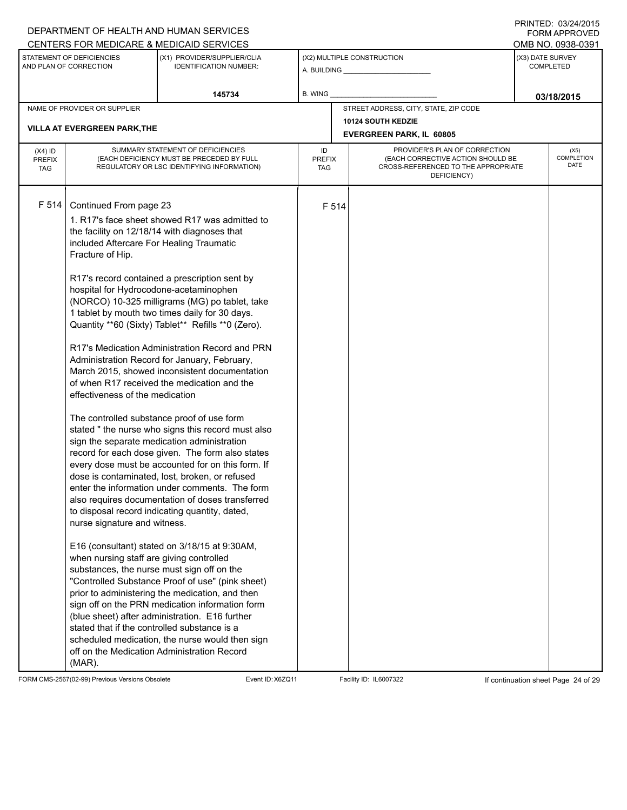# A. BUILDING **\_\_\_\_\_\_\_\_\_\_\_\_\_\_\_\_\_\_\_\_\_\_** (X1) PROVIDER/SUPPLIER/CLIA IDENTIFICATION NUMBER: STATEMENT OF DEFICIENCIES AND PLAN OF CORRECTION (X3) DATE SURVEY COMPLETED FORM APPROVED (X2) MULTIPLE CONSTRUCTION **B. WING** CENTERS FOR MEDICARE & MEDICAID SERVICES **And CENTERS FOR MEDICAL ACCESS** OMB NO. 0938-0391 **145734 B. WING D. CONSUMING D. CONSUMING D. CONSUMING D. CONSUMING D. CONSUMING D. CONSUMING D. CONSUMING D. CONSUMING D. CONSUMING D. CONSUMING D. CONSUMING D. CONSUMING D. CONSUMING D. CONS** NAME OF PROVIDER OR SUPPLIER STREET ADDRESS, CITY, STATE, ZIP CODE **10124 SOUTH KEDZIE VILLA AT EVERGREEN PARK,THE EVERGREEN PARK, IL 60805** PROVIDER'S PLAN OF CORRECTION (EACH CORRECTIVE ACTION SHOULD BE CROSS-REFERENCED TO THE APPROPRIATE DEFICIENCY) (X5) **COMPLETION** DATE ID PREFIX TAG (X4) ID PREFIX TAG SUMMARY STATEMENT OF DEFICIENCIES (EACH DEFICIENCY MUST BE PRECEDED BY FULL REGULATORY OR LSC IDENTIFYING INFORMATION) F 514 Continued From page 23 F 514 1. R17's face sheet showed R17 was admitted to the facility on 12/18/14 with diagnoses that included Aftercare For Healing Traumatic Fracture of Hip. R17's record contained a prescription sent by hospital for Hydrocodone-acetaminophen (NORCO) 10-325 milligrams (MG) po tablet, take 1 tablet by mouth two times daily for 30 days. Quantity \*\*60 (Sixty) Tablet\*\* Refills \*\*0 (Zero). R17's Medication Administration Record and PRN Administration Record for January, February, March 2015, showed inconsistent documentation of when R17 received the medication and the effectiveness of the medication The controlled substance proof of use form stated " the nurse who signs this record must also sign the separate medication administration record for each dose given. The form also states every dose must be accounted for on this form. If dose is contaminated, lost, broken, or refused enter the information under comments. The form also requires documentation of doses transferred to disposal record indicating quantity, dated, nurse signature and witness. E16 (consultant) stated on 3/18/15 at 9:30AM, when nursing staff are giving controlled substances, the nurse must sign off on the "Controlled Substance Proof of use" (pink sheet) prior to administering the medication, and then sign off on the PRN medication information form (blue sheet) after administration. E16 further stated that if the controlled substance is a scheduled medication, the nurse would then sign off on the Medication Administration Record (MAR).

FORM CMS-2567(02-99) Previous Versions Obsolete Event ID:X6ZQ11 Facility ID: IL6007322 If continuation sheet Page 24 of 29

DEPARTMENT OF HEALTH AND HUMAN SERVICES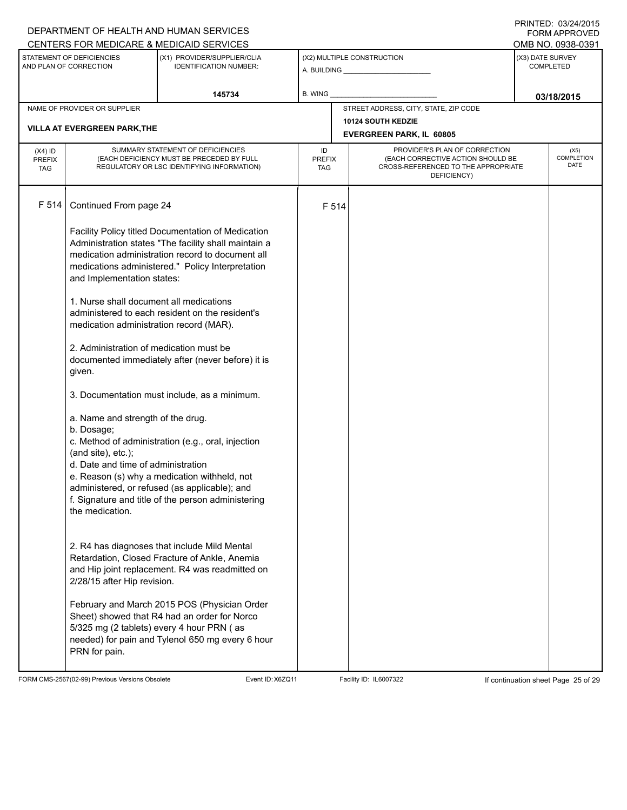|                                                     | DEPARTMENT OF HEALTH AND HUMAN SERVICES                                                   |                                                                                               | <b>FORM APPROVED</b><br>OMB NO. 0938-0391 |                                                           |                                                    |                                      |      |  |  |
|-----------------------------------------------------|-------------------------------------------------------------------------------------------|-----------------------------------------------------------------------------------------------|-------------------------------------------|-----------------------------------------------------------|----------------------------------------------------|--------------------------------------|------|--|--|
|                                                     |                                                                                           | CENTERS FOR MEDICARE & MEDICAID SERVICES                                                      |                                           |                                                           |                                                    |                                      |      |  |  |
| STATEMENT OF DEFICIENCIES<br>AND PLAN OF CORRECTION |                                                                                           | (X1) PROVIDER/SUPPLIER/CLIA<br><b>IDENTIFICATION NUMBER:</b>                                  |                                           | (X2) MULTIPLE CONSTRUCTION                                |                                                    | (X3) DATE SURVEY<br><b>COMPLETED</b> |      |  |  |
|                                                     |                                                                                           | 145734                                                                                        | B. WING                                   |                                                           |                                                    | 03/18/2015                           |      |  |  |
|                                                     | NAME OF PROVIDER OR SUPPLIER                                                              |                                                                                               |                                           |                                                           | STREET ADDRESS, CITY, STATE, ZIP CODE              |                                      |      |  |  |
|                                                     | <b>VILLA AT EVERGREEN PARK, THE</b>                                                       |                                                                                               |                                           |                                                           | <b>10124 SOUTH KEDZIE</b>                          |                                      |      |  |  |
|                                                     |                                                                                           |                                                                                               |                                           | <b>EVERGREEN PARK, IL 60805</b>                           |                                                    |                                      |      |  |  |
| $(X4)$ ID                                           |                                                                                           | SUMMARY STATEMENT OF DEFICIENCIES                                                             | ID                                        |                                                           | PROVIDER'S PLAN OF CORRECTION                      |                                      | (X5) |  |  |
| <b>PREFIX</b>                                       |                                                                                           | (EACH DEFICIENCY MUST BE PRECEDED BY FULL                                                     |                                           | (EACH CORRECTIVE ACTION SHOULD BE<br><b>PREFIX</b><br>TAG |                                                    | COMPLETION<br>DATE                   |      |  |  |
| <b>TAG</b>                                          | REGULATORY OR LSC IDENTIFYING INFORMATION)                                                |                                                                                               |                                           |                                                           | CROSS-REFERENCED TO THE APPROPRIATE<br>DEFICIENCY) |                                      |      |  |  |
|                                                     |                                                                                           |                                                                                               |                                           |                                                           |                                                    |                                      |      |  |  |
| F 514                                               | Continued From page 24                                                                    |                                                                                               |                                           | F 514                                                     |                                                    |                                      |      |  |  |
|                                                     |                                                                                           |                                                                                               |                                           |                                                           |                                                    |                                      |      |  |  |
|                                                     |                                                                                           | Facility Policy titled Documentation of Medication                                            |                                           |                                                           |                                                    |                                      |      |  |  |
|                                                     |                                                                                           | Administration states "The facility shall maintain a                                          |                                           |                                                           |                                                    |                                      |      |  |  |
|                                                     |                                                                                           | medication administration record to document all                                              |                                           |                                                           |                                                    |                                      |      |  |  |
|                                                     |                                                                                           | medications administered." Policy Interpretation                                              |                                           |                                                           |                                                    |                                      |      |  |  |
|                                                     | and Implementation states:                                                                |                                                                                               |                                           |                                                           |                                                    |                                      |      |  |  |
|                                                     | 1. Nurse shall document all medications                                                   |                                                                                               |                                           |                                                           |                                                    |                                      |      |  |  |
|                                                     |                                                                                           | administered to each resident on the resident's                                               |                                           |                                                           |                                                    |                                      |      |  |  |
|                                                     | medication administration record (MAR).                                                   |                                                                                               |                                           |                                                           |                                                    |                                      |      |  |  |
|                                                     |                                                                                           |                                                                                               |                                           |                                                           |                                                    |                                      |      |  |  |
|                                                     | 2. Administration of medication must be                                                   |                                                                                               |                                           |                                                           |                                                    |                                      |      |  |  |
|                                                     | documented immediately after (never before) it is                                         |                                                                                               |                                           |                                                           |                                                    |                                      |      |  |  |
|                                                     | given.                                                                                    |                                                                                               |                                           |                                                           |                                                    |                                      |      |  |  |
|                                                     |                                                                                           |                                                                                               |                                           |                                                           |                                                    |                                      |      |  |  |
|                                                     | 3. Documentation must include, as a minimum.                                              |                                                                                               |                                           |                                                           |                                                    |                                      |      |  |  |
|                                                     | a. Name and strength of the drug.                                                         |                                                                                               |                                           |                                                           |                                                    |                                      |      |  |  |
|                                                     | b. Dosage;                                                                                |                                                                                               |                                           |                                                           |                                                    |                                      |      |  |  |
|                                                     |                                                                                           | c. Method of administration (e.g., oral, injection                                            |                                           |                                                           |                                                    |                                      |      |  |  |
|                                                     | (and site), etc.);<br>d. Date and time of administration                                  |                                                                                               |                                           |                                                           |                                                    |                                      |      |  |  |
|                                                     |                                                                                           |                                                                                               |                                           |                                                           |                                                    |                                      |      |  |  |
|                                                     |                                                                                           | e. Reason (s) why a medication withheld, not<br>administered, or refused (as applicable); and |                                           |                                                           |                                                    |                                      |      |  |  |
|                                                     |                                                                                           | f. Signature and title of the person administering                                            |                                           |                                                           |                                                    |                                      |      |  |  |
|                                                     | the medication.                                                                           |                                                                                               |                                           |                                                           |                                                    |                                      |      |  |  |
|                                                     |                                                                                           |                                                                                               |                                           |                                                           |                                                    |                                      |      |  |  |
|                                                     |                                                                                           |                                                                                               |                                           |                                                           |                                                    |                                      |      |  |  |
|                                                     |                                                                                           | 2. R4 has diagnoses that include Mild Mental                                                  |                                           |                                                           |                                                    |                                      |      |  |  |
|                                                     |                                                                                           | Retardation, Closed Fracture of Ankle, Anemia                                                 |                                           |                                                           |                                                    |                                      |      |  |  |
|                                                     |                                                                                           | and Hip joint replacement. R4 was readmitted on                                               |                                           |                                                           |                                                    |                                      |      |  |  |
|                                                     | 2/28/15 after Hip revision.                                                               |                                                                                               |                                           |                                                           |                                                    |                                      |      |  |  |
|                                                     |                                                                                           |                                                                                               |                                           |                                                           |                                                    |                                      |      |  |  |
|                                                     |                                                                                           | February and March 2015 POS (Physician Order                                                  |                                           |                                                           |                                                    |                                      |      |  |  |
|                                                     | Sheet) showed that R4 had an order for Norco<br>5/325 mg (2 tablets) every 4 hour PRN (as |                                                                                               |                                           |                                                           |                                                    |                                      |      |  |  |
|                                                     |                                                                                           | needed) for pain and Tylenol 650 mg every 6 hour                                              |                                           |                                                           |                                                    |                                      |      |  |  |
|                                                     | PRN for pain.                                                                             |                                                                                               |                                           |                                                           |                                                    |                                      |      |  |  |
|                                                     |                                                                                           |                                                                                               |                                           |                                                           |                                                    |                                      |      |  |  |

FORM CMS-2567(02-99) Previous Versions Obsolete Event ID:X6ZQ11 Facility ID: IL6007322 If continuation sheet Page 25 of 29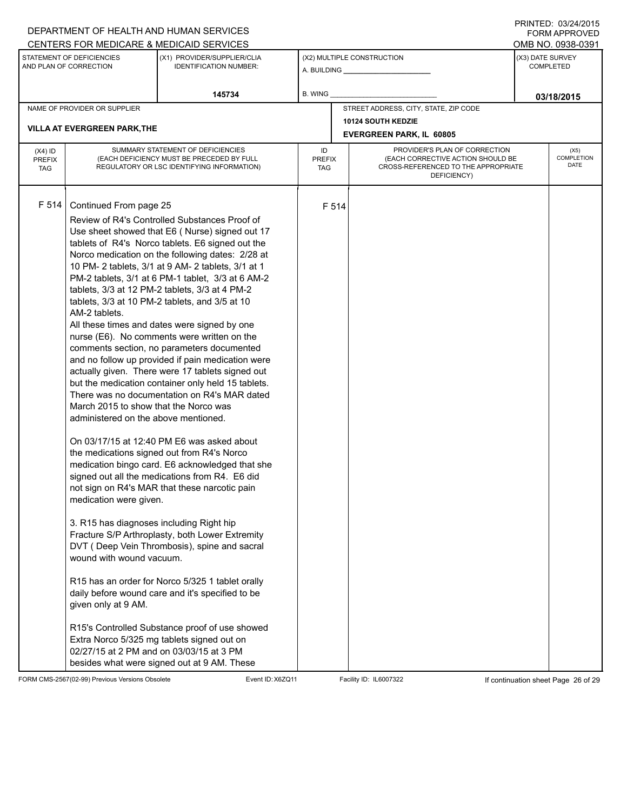# A. BUILDING **\_\_\_\_\_\_\_\_\_\_\_\_\_\_\_\_\_\_\_\_\_\_** (X1) PROVIDER/SUPPLIER/CLIA IDENTIFICATION NUMBER: STATEMENT OF DEFICIENCIES AND PLAN OF CORRECTION (X3) DATE SURVEY COMPLETED FORM APPROVED (X2) MULTIPLE CONSTRUCTION **B. WING** CENTERS FOR MEDICARE & MEDICAID SERVICES **And CENTERS FOR MEDICAL ACCESS** OMB NO. 0938-0391 **145734 B. WING D. CONSUMING D. CONSUMING D. CONSUMING D. CONSUMING D. CONSUMING D. CONSUMING D. CONSUMING D. CONSUMING D. CONSUMING D. CONSUMING D. CONSUMING D. CONSUMING D. CONSUMING D. CONS** NAME OF PROVIDER OR SUPPLIER STREET ADDRESS, CITY, STATE, ZIP CODE **10124 SOUTH KEDZIE VILLA AT EVERGREEN PARK,THE EVERGREEN PARK, IL 60805** PROVIDER'S PLAN OF CORRECTION (EACH CORRECTIVE ACTION SHOULD BE CROSS-REFERENCED TO THE APPROPRIATE DEFICIENCY) (X5) **COMPLETION** DATE ID PREFIX TAG (X4) ID PREFIX TAG SUMMARY STATEMENT OF DEFICIENCIES (EACH DEFICIENCY MUST BE PRECEDED BY FULL REGULATORY OR LSC IDENTIFYING INFORMATION) F 514 Continued From page 25 F 514 Review of R4's Controlled Substances Proof of Use sheet showed that E6 ( Nurse) signed out 17 tablets of R4's Norco tablets. E6 signed out the Norco medication on the following dates: 2/28 at 10 PM- 2 tablets, 3/1 at 9 AM- 2 tablets, 3/1 at 1 PM-2 tablets, 3/1 at 6 PM-1 tablet, 3/3 at 6 AM-2 tablets, 3/3 at 12 PM-2 tablets, 3/3 at 4 PM-2 tablets, 3/3 at 10 PM-2 tablets, and 3/5 at 10 AM-2 tablets. All these times and dates were signed by one nurse (E6). No comments were written on the comments section, no parameters documented and no follow up provided if pain medication were actually given. There were 17 tablets signed out but the medication container only held 15 tablets. There was no documentation on R4's MAR dated March 2015 to show that the Norco was administered on the above mentioned. On 03/17/15 at 12:40 PM E6 was asked about the medications signed out from R4's Norco medication bingo card. E6 acknowledged that she signed out all the medications from R4. E6 did not sign on R4's MAR that these narcotic pain medication were given. 3. R15 has diagnoses including Right hip Fracture S/P Arthroplasty, both Lower Extremity DVT ( Deep Vein Thrombosis), spine and sacral wound with wound vacuum. R15 has an order for Norco 5/325 1 tablet orally daily before wound care and it's specified to be given only at 9 AM. R15's Controlled Substance proof of use showed Extra Norco 5/325 mg tablets signed out on 02/27/15 at 2 PM and on 03/03/15 at 3 PM besides what were signed out at 9 AM. These

FORM CMS-2567(02-99) Previous Versions Obsolete Event ID:X6ZQ11 Facility ID: IL6007322 If continuation sheet Page 26 of 29

DEPARTMENT OF HEALTH AND HUMAN SERVICES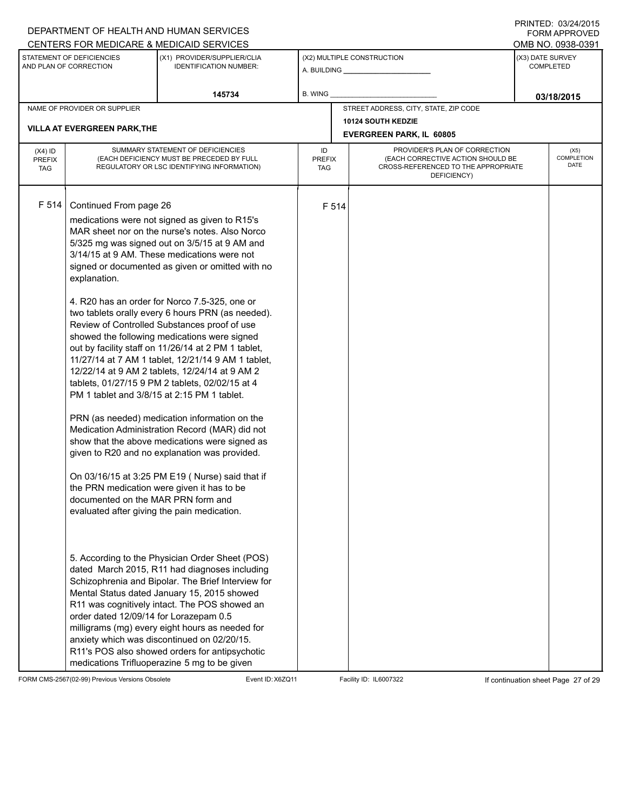|                                                     |                                                                                                                                                                                                                                                                                                                                                                                                                                                                                                                                                                                                                                                                                                                                                                                                                                                                                                                                                                                                                                                                                                                                                                                                                                                                                                                                                                                                                                                                                                                                                                                                                                                                                                                                                                                                                                                  | DEPARTMENT OF HEALTH AND HUMAN SERVICES                      |                                                                                                                          |       |                                       |                                          | <b>FORM APPROVED</b> |  |  |
|-----------------------------------------------------|--------------------------------------------------------------------------------------------------------------------------------------------------------------------------------------------------------------------------------------------------------------------------------------------------------------------------------------------------------------------------------------------------------------------------------------------------------------------------------------------------------------------------------------------------------------------------------------------------------------------------------------------------------------------------------------------------------------------------------------------------------------------------------------------------------------------------------------------------------------------------------------------------------------------------------------------------------------------------------------------------------------------------------------------------------------------------------------------------------------------------------------------------------------------------------------------------------------------------------------------------------------------------------------------------------------------------------------------------------------------------------------------------------------------------------------------------------------------------------------------------------------------------------------------------------------------------------------------------------------------------------------------------------------------------------------------------------------------------------------------------------------------------------------------------------------------------------------------------|--------------------------------------------------------------|--------------------------------------------------------------------------------------------------------------------------|-------|---------------------------------------|------------------------------------------|----------------------|--|--|
|                                                     |                                                                                                                                                                                                                                                                                                                                                                                                                                                                                                                                                                                                                                                                                                                                                                                                                                                                                                                                                                                                                                                                                                                                                                                                                                                                                                                                                                                                                                                                                                                                                                                                                                                                                                                                                                                                                                                  | CENTERS FOR MEDICARE & MEDICAID SERVICES                     |                                                                                                                          |       |                                       |                                          | OMB NO. 0938-0391    |  |  |
| STATEMENT OF DEFICIENCIES<br>AND PLAN OF CORRECTION |                                                                                                                                                                                                                                                                                                                                                                                                                                                                                                                                                                                                                                                                                                                                                                                                                                                                                                                                                                                                                                                                                                                                                                                                                                                                                                                                                                                                                                                                                                                                                                                                                                                                                                                                                                                                                                                  | (X1) PROVIDER/SUPPLIER/CLIA<br><b>IDENTIFICATION NUMBER:</b> |                                                                                                                          |       | (X2) MULTIPLE CONSTRUCTION            | (X3) DATE SURVEY<br><b>COMPLETED</b>     |                      |  |  |
|                                                     |                                                                                                                                                                                                                                                                                                                                                                                                                                                                                                                                                                                                                                                                                                                                                                                                                                                                                                                                                                                                                                                                                                                                                                                                                                                                                                                                                                                                                                                                                                                                                                                                                                                                                                                                                                                                                                                  | 145734                                                       | B. WING                                                                                                                  |       |                                       | 03/18/2015                               |                      |  |  |
|                                                     | NAME OF PROVIDER OR SUPPLIER                                                                                                                                                                                                                                                                                                                                                                                                                                                                                                                                                                                                                                                                                                                                                                                                                                                                                                                                                                                                                                                                                                                                                                                                                                                                                                                                                                                                                                                                                                                                                                                                                                                                                                                                                                                                                     |                                                              |                                                                                                                          |       | STREET ADDRESS, CITY, STATE, ZIP CODE |                                          |                      |  |  |
|                                                     |                                                                                                                                                                                                                                                                                                                                                                                                                                                                                                                                                                                                                                                                                                                                                                                                                                                                                                                                                                                                                                                                                                                                                                                                                                                                                                                                                                                                                                                                                                                                                                                                                                                                                                                                                                                                                                                  |                                                              |                                                                                                                          |       | <b>10124 SOUTH KEDZIE</b>             |                                          |                      |  |  |
|                                                     |                                                                                                                                                                                                                                                                                                                                                                                                                                                                                                                                                                                                                                                                                                                                                                                                                                                                                                                                                                                                                                                                                                                                                                                                                                                                                                                                                                                                                                                                                                                                                                                                                                                                                                                                                                                                                                                  |                                                              |                                                                                                                          |       | <b>EVERGREEN PARK, IL 60805</b>       |                                          |                      |  |  |
| $(X4)$ ID<br><b>PREFIX</b><br><b>TAG</b>            |                                                                                                                                                                                                                                                                                                                                                                                                                                                                                                                                                                                                                                                                                                                                                                                                                                                                                                                                                                                                                                                                                                                                                                                                                                                                                                                                                                                                                                                                                                                                                                                                                                                                                                                                                                                                                                                  | ID<br><b>PREFIX</b><br>TAG                                   | PROVIDER'S PLAN OF CORRECTION<br>(EACH CORRECTIVE ACTION SHOULD BE<br>CROSS-REFERENCED TO THE APPROPRIATE<br>DEFICIENCY) |       |                                       | (X5)<br><b>COMPLETION</b><br><b>DATE</b> |                      |  |  |
| F 514                                               | <b>VILLA AT EVERGREEN PARK, THE</b><br>SUMMARY STATEMENT OF DEFICIENCIES<br>(EACH DEFICIENCY MUST BE PRECEDED BY FULL<br>REGULATORY OR LSC IDENTIFYING INFORMATION)<br>Continued From page 26<br>medications were not signed as given to R15's<br>MAR sheet nor on the nurse's notes. Also Norco<br>5/325 mg was signed out on 3/5/15 at 9 AM and<br>3/14/15 at 9 AM. These medications were not<br>signed or documented as given or omitted with no<br>explanation.<br>4. R20 has an order for Norco 7.5-325, one or<br>two tablets orally every 6 hours PRN (as needed).<br>Review of Controlled Substances proof of use<br>showed the following medications were signed<br>out by facility staff on 11/26/14 at 2 PM 1 tablet,<br>11/27/14 at 7 AM 1 tablet, 12/21/14 9 AM 1 tablet,<br>12/22/14 at 9 AM 2 tablets, 12/24/14 at 9 AM 2<br>tablets, 01/27/15 9 PM 2 tablets, 02/02/15 at 4<br>PM 1 tablet and 3/8/15 at 2:15 PM 1 tablet.<br>PRN (as needed) medication information on the<br>Medication Administration Record (MAR) did not<br>show that the above medications were signed as<br>given to R20 and no explanation was provided.<br>On 03/16/15 at 3:25 PM E19 ( Nurse) said that if<br>the PRN medication were given it has to be<br>documented on the MAR PRN form and<br>evaluated after giving the pain medication.<br>5. According to the Physician Order Sheet (POS)<br>dated March 2015, R11 had diagnoses including<br>Schizophrenia and Bipolar. The Brief Interview for<br>Mental Status dated January 15, 2015 showed<br>R11 was cognitively intact. The POS showed an<br>order dated 12/09/14 for Lorazepam 0.5<br>milligrams (mg) every eight hours as needed for<br>anxiety which was discontinued on 02/20/15.<br>R11's POS also showed orders for antipsychotic<br>medications Trifluoperazine 5 mg to be given |                                                              |                                                                                                                          | F 514 |                                       |                                          |                      |  |  |

FORM CMS-2567(02-99) Previous Versions Obsolete Event ID:X6ZQ11 Facility ID: IL6007322 If continuation sheet Page 27 of 29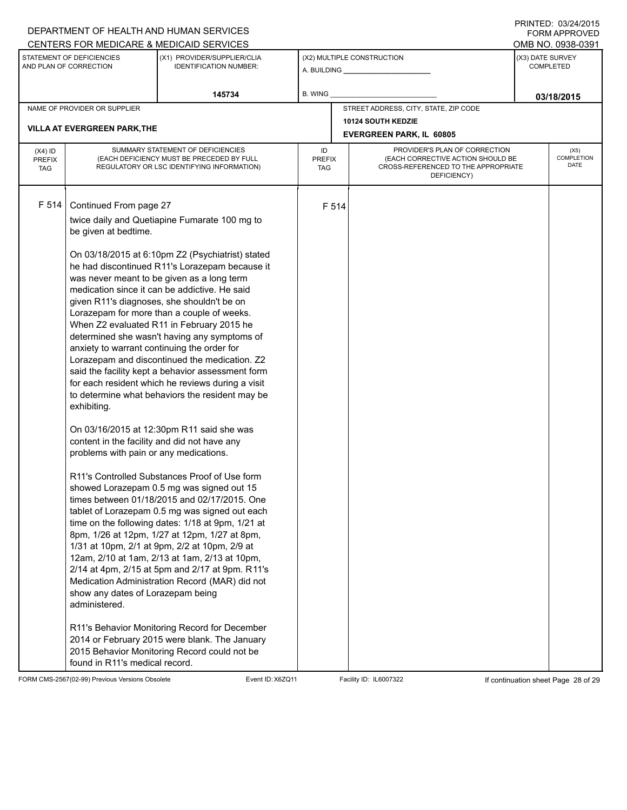| DEPARTMENT OF HEALTH AND HUMAN SERVICES<br>CENTERS FOR MEDICARE & MEDICAID SERVICES |                                                                                                                                                                                                                                                              |                                                                                                                                                                                                                                                                                                                                                                                                                                                                                                                                                                                                                                                                                                                                                                                                                                                                                                                                                                                                                                                                                                                                                                                                                                                                                                                       |         |                                                                                                                          |                                                                                                | FORM APPROVED<br>OMB NO. 0938-0391 |  |  |
|-------------------------------------------------------------------------------------|--------------------------------------------------------------------------------------------------------------------------------------------------------------------------------------------------------------------------------------------------------------|-----------------------------------------------------------------------------------------------------------------------------------------------------------------------------------------------------------------------------------------------------------------------------------------------------------------------------------------------------------------------------------------------------------------------------------------------------------------------------------------------------------------------------------------------------------------------------------------------------------------------------------------------------------------------------------------------------------------------------------------------------------------------------------------------------------------------------------------------------------------------------------------------------------------------------------------------------------------------------------------------------------------------------------------------------------------------------------------------------------------------------------------------------------------------------------------------------------------------------------------------------------------------------------------------------------------------|---------|--------------------------------------------------------------------------------------------------------------------------|------------------------------------------------------------------------------------------------|------------------------------------|--|--|
| STATEMENT OF DEFICIENCIES<br>AND PLAN OF CORRECTION                                 |                                                                                                                                                                                                                                                              | (X1) PROVIDER/SUPPLIER/CLIA<br><b>IDENTIFICATION NUMBER:</b>                                                                                                                                                                                                                                                                                                                                                                                                                                                                                                                                                                                                                                                                                                                                                                                                                                                                                                                                                                                                                                                                                                                                                                                                                                                          |         | (X2) MULTIPLE CONSTRUCTION                                                                                               |                                                                                                | (X3) DATE SURVEY<br>COMPLETED      |  |  |
|                                                                                     |                                                                                                                                                                                                                                                              | 145734                                                                                                                                                                                                                                                                                                                                                                                                                                                                                                                                                                                                                                                                                                                                                                                                                                                                                                                                                                                                                                                                                                                                                                                                                                                                                                                | B. WING |                                                                                                                          |                                                                                                | 03/18/2015                         |  |  |
| NAME OF PROVIDER OR SUPPLIER<br><b>VILLA AT EVERGREEN PARK, THE</b>                 |                                                                                                                                                                                                                                                              |                                                                                                                                                                                                                                                                                                                                                                                                                                                                                                                                                                                                                                                                                                                                                                                                                                                                                                                                                                                                                                                                                                                                                                                                                                                                                                                       |         |                                                                                                                          | STREET ADDRESS, CITY, STATE, ZIP CODE<br>10124 SOUTH KEDZIE<br><b>EVERGREEN PARK, IL 60805</b> |                                    |  |  |
| $(X4)$ ID<br><b>PREFIX</b><br><b>TAG</b>                                            | SUMMARY STATEMENT OF DEFICIENCIES<br>(EACH DEFICIENCY MUST BE PRECEDED BY FULL<br>REGULATORY OR LSC IDENTIFYING INFORMATION)                                                                                                                                 | ID<br><b>PREFIX</b><br>TAG                                                                                                                                                                                                                                                                                                                                                                                                                                                                                                                                                                                                                                                                                                                                                                                                                                                                                                                                                                                                                                                                                                                                                                                                                                                                                            |         | PROVIDER'S PLAN OF CORRECTION<br>(EACH CORRECTIVE ACTION SHOULD BE<br>CROSS-REFERENCED TO THE APPROPRIATE<br>DEFICIENCY) | (X5)<br>COMPLETION<br>DATE                                                                     |                                    |  |  |
| F 514                                                                               | Continued From page 27<br>be given at bedtime.<br>anxiety to warrant continuing the order for<br>exhibiting.<br>content in the facility and did not have any<br>problems with pain or any medications.<br>show any dates of Lorazepam being<br>administered. | twice daily and Quetiapine Fumarate 100 mg to<br>On 03/18/2015 at 6:10pm Z2 (Psychiatrist) stated<br>he had discontinued R11's Lorazepam because it<br>was never meant to be given as a long term<br>medication since it can be addictive. He said<br>given R11's diagnoses, she shouldn't be on<br>Lorazepam for more than a couple of weeks.<br>When Z2 evaluated R11 in February 2015 he<br>determined she wasn't having any symptoms of<br>Lorazepam and discontinued the medication. Z2<br>said the facility kept a behavior assessment form<br>for each resident which he reviews during a visit<br>to determine what behaviors the resident may be<br>On 03/16/2015 at 12:30pm R11 said she was<br>R11's Controlled Substances Proof of Use form<br>showed Lorazepam 0.5 mg was signed out 15<br>times between 01/18/2015 and 02/17/2015. One<br>tablet of Lorazepam 0.5 mg was signed out each<br>time on the following dates: 1/18 at 9pm, 1/21 at<br>8pm, 1/26 at 12pm, 1/27 at 12pm, 1/27 at 8pm,<br>1/31 at 10pm, 2/1 at 9pm, 2/2 at 10pm, 2/9 at<br>12am, 2/10 at 1am, 2/13 at 1am, 2/13 at 10pm,<br>2/14 at 4pm, 2/15 at 5pm and 2/17 at 9pm. R11's<br>Medication Administration Record (MAR) did not<br>R11's Behavior Monitoring Record for December<br>2014 or February 2015 were blank. The January |         | F 514                                                                                                                    |                                                                                                |                                    |  |  |
|                                                                                     | found in R11's medical record.                                                                                                                                                                                                                               | 2015 Behavior Monitoring Record could not be                                                                                                                                                                                                                                                                                                                                                                                                                                                                                                                                                                                                                                                                                                                                                                                                                                                                                                                                                                                                                                                                                                                                                                                                                                                                          |         |                                                                                                                          |                                                                                                |                                    |  |  |

DEPARTMENT OF HEALTH AND HUMAN SERVICES